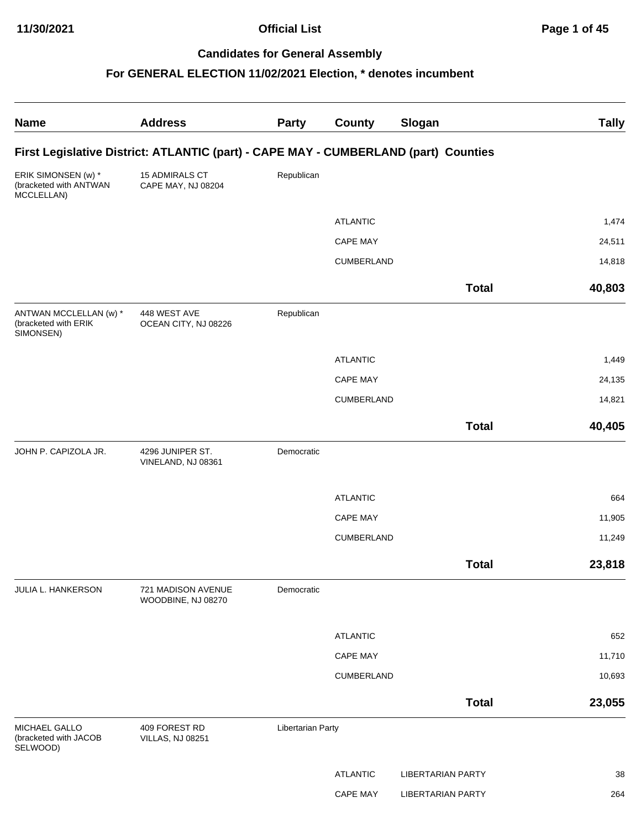**11/30/2021 Official List Page 1 of 45**

# **Candidates for General Assembly**

| <b>Name</b>                                                 | <b>Address</b>                                                                      | <b>Party</b>      | <b>County</b>   | Slogan                   | <b>Tally</b> |
|-------------------------------------------------------------|-------------------------------------------------------------------------------------|-------------------|-----------------|--------------------------|--------------|
|                                                             | First Legislative District: ATLANTIC (part) - CAPE MAY - CUMBERLAND (part) Counties |                   |                 |                          |              |
| ERIK SIMONSEN (w) *<br>(bracketed with ANTWAN<br>MCCLELLAN) | 15 ADMIRALS CT<br>CAPE MAY, NJ 08204                                                | Republican        |                 |                          |              |
|                                                             |                                                                                     |                   | <b>ATLANTIC</b> |                          | 1,474        |
|                                                             |                                                                                     |                   | <b>CAPE MAY</b> |                          | 24,511       |
|                                                             |                                                                                     |                   | CUMBERLAND      |                          | 14,818       |
|                                                             |                                                                                     |                   |                 | <b>Total</b>             | 40,803       |
| ANTWAN MCCLELLAN (w) *<br>(bracketed with ERIK<br>SIMONSEN) | 448 WEST AVE<br>OCEAN CITY, NJ 08226                                                | Republican        |                 |                          |              |
|                                                             |                                                                                     |                   | <b>ATLANTIC</b> |                          | 1,449        |
|                                                             |                                                                                     |                   | <b>CAPE MAY</b> |                          | 24,135       |
|                                                             |                                                                                     |                   | CUMBERLAND      |                          | 14,821       |
|                                                             |                                                                                     |                   |                 | <b>Total</b>             | 40,405       |
| JOHN P. CAPIZOLA JR.                                        | 4296 JUNIPER ST.<br>VINELAND, NJ 08361                                              | Democratic        |                 |                          |              |
|                                                             |                                                                                     |                   | <b>ATLANTIC</b> |                          | 664          |
|                                                             |                                                                                     |                   | <b>CAPE MAY</b> |                          | 11,905       |
|                                                             |                                                                                     |                   | CUMBERLAND      |                          | 11,249       |
|                                                             |                                                                                     |                   |                 | <b>Total</b>             | 23,818       |
| JULIA L. HANKERSON                                          | 721 MADISON AVENUE<br>WOODBINE, NJ 08270                                            | Democratic        |                 |                          |              |
|                                                             |                                                                                     |                   | <b>ATLANTIC</b> |                          | 652          |
|                                                             |                                                                                     |                   | <b>CAPE MAY</b> |                          | 11,710       |
|                                                             |                                                                                     |                   | CUMBERLAND      |                          | 10,693       |
|                                                             |                                                                                     |                   |                 | <b>Total</b>             | 23,055       |
| MICHAEL GALLO<br>(bracketed with JACOB<br>SELWOOD)          | 409 FOREST RD<br><b>VILLAS, NJ 08251</b>                                            | Libertarian Party |                 |                          |              |
|                                                             |                                                                                     |                   | <b>ATLANTIC</b> | <b>LIBERTARIAN PARTY</b> | 38           |
|                                                             |                                                                                     |                   | <b>CAPE MAY</b> | <b>LIBERTARIAN PARTY</b> | 264          |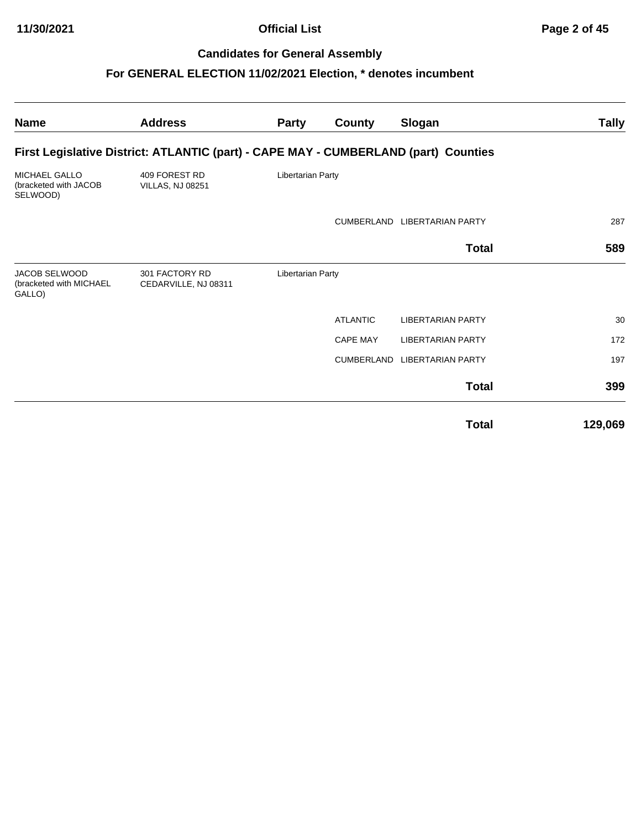**11/30/2021 Official List Page 2 of 45**

## **Candidates for General Assembly**

| <b>Name</b>                                               | <b>Address</b>                                                                      | <b>Party</b>      | <b>County</b>     | Slogan                       | <b>Tally</b> |
|-----------------------------------------------------------|-------------------------------------------------------------------------------------|-------------------|-------------------|------------------------------|--------------|
|                                                           | First Legislative District: ATLANTIC (part) - CAPE MAY - CUMBERLAND (part) Counties |                   |                   |                              |              |
| <b>MICHAEL GALLO</b><br>(bracketed with JACOB<br>SELWOOD) | 409 FOREST RD<br><b>VILLAS, NJ 08251</b>                                            | Libertarian Party |                   |                              |              |
|                                                           |                                                                                     |                   |                   | CUMBERLAND LIBERTARIAN PARTY | 287          |
|                                                           |                                                                                     |                   |                   | <b>Total</b>                 | 589          |
| <b>JACOB SELWOOD</b><br>(bracketed with MICHAEL<br>GALLO) | 301 FACTORY RD<br>CEDARVILLE, NJ 08311                                              | Libertarian Party |                   |                              |              |
|                                                           |                                                                                     |                   | <b>ATLANTIC</b>   | <b>LIBERTARIAN PARTY</b>     | 30           |
|                                                           |                                                                                     |                   | <b>CAPE MAY</b>   | <b>LIBERTARIAN PARTY</b>     | 172          |
|                                                           |                                                                                     |                   | <b>CUMBERLAND</b> | <b>LIBERTARIAN PARTY</b>     | 197          |
|                                                           |                                                                                     |                   |                   | <b>Total</b>                 | 399          |
|                                                           |                                                                                     |                   |                   | <b>Total</b>                 | 129,069      |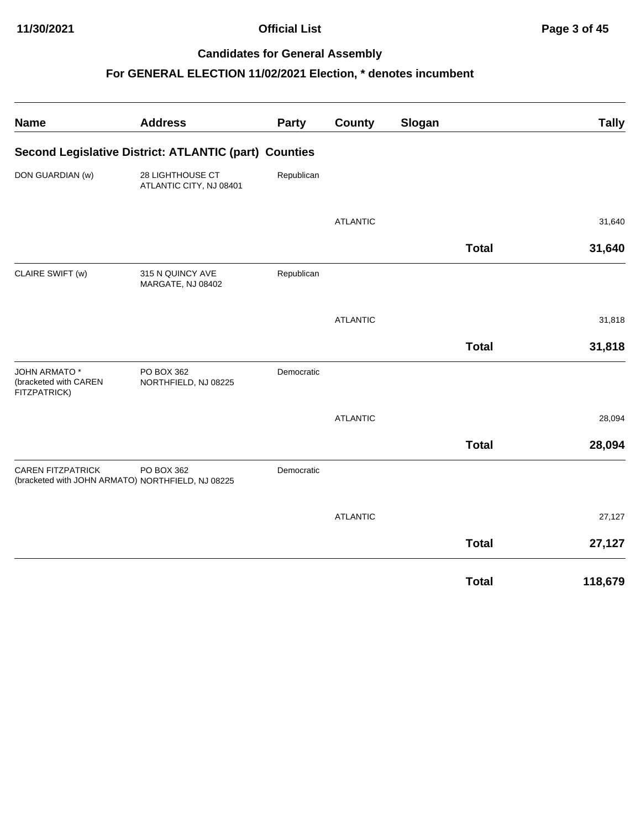## **11/30/2021 Official List Page 3 of 45**

## **Candidates for General Assembly**

| <b>Name</b>                                                  | <b>Address</b>                                                  | <b>Party</b> | <b>County</b>   | Slogan       | <b>Tally</b> |
|--------------------------------------------------------------|-----------------------------------------------------------------|--------------|-----------------|--------------|--------------|
|                                                              | Second Legislative District: ATLANTIC (part) Counties           |              |                 |              |              |
| DON GUARDIAN (w)                                             | 28 LIGHTHOUSE CT<br>ATLANTIC CITY, NJ 08401                     | Republican   |                 |              |              |
|                                                              |                                                                 |              | <b>ATLANTIC</b> |              | 31,640       |
|                                                              |                                                                 |              |                 | <b>Total</b> | 31,640       |
| CLAIRE SWIFT (w)                                             | 315 N QUINCY AVE<br>MARGATE, NJ 08402                           | Republican   |                 |              |              |
|                                                              |                                                                 |              | <b>ATLANTIC</b> |              | 31,818       |
|                                                              |                                                                 |              |                 | <b>Total</b> | 31,818       |
| <b>JOHN ARMATO*</b><br>(bracketed with CAREN<br>FITZPATRICK) | PO BOX 362<br>NORTHFIELD, NJ 08225                              | Democratic   |                 |              |              |
|                                                              |                                                                 |              | <b>ATLANTIC</b> |              | 28,094       |
|                                                              |                                                                 |              |                 | <b>Total</b> | 28,094       |
| <b>CAREN FITZPATRICK</b>                                     | PO BOX 362<br>(bracketed with JOHN ARMATO) NORTHFIELD, NJ 08225 | Democratic   |                 |              |              |
|                                                              |                                                                 |              | <b>ATLANTIC</b> |              | 27,127       |
|                                                              |                                                                 |              |                 | <b>Total</b> | 27,127       |
|                                                              |                                                                 |              |                 | <b>Total</b> | 118,679      |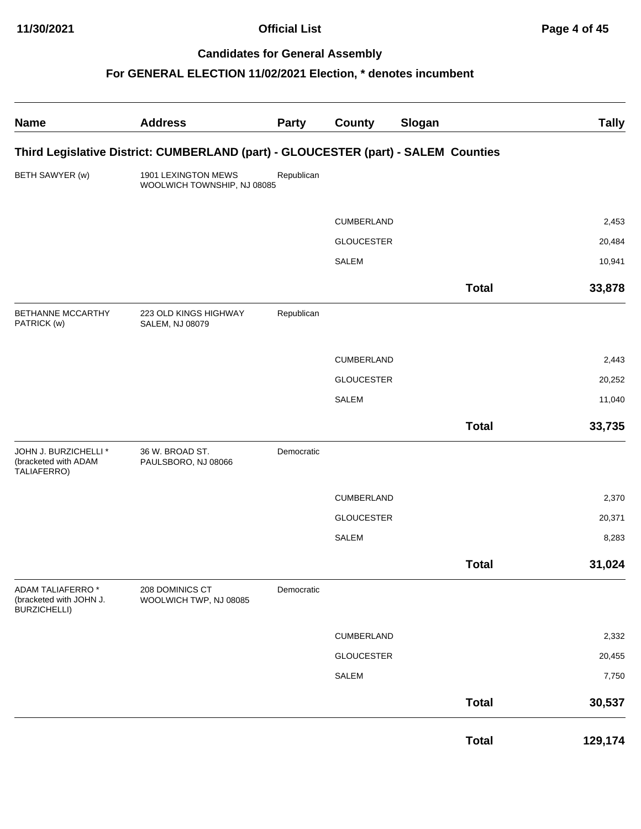**11/30/2021 Official List Page 4 of 45**

## **Candidates for General Assembly**

| <b>Name</b>                                                         | <b>Address</b>                                                                     | <b>Party</b> | <b>County</b>     | Slogan       | <b>Tally</b> |
|---------------------------------------------------------------------|------------------------------------------------------------------------------------|--------------|-------------------|--------------|--------------|
|                                                                     | Third Legislative District: CUMBERLAND (part) - GLOUCESTER (part) - SALEM Counties |              |                   |              |              |
| BETH SAWYER (w)                                                     | 1901 LEXINGTON MEWS<br>WOOLWICH TOWNSHIP, NJ 08085                                 | Republican   |                   |              |              |
|                                                                     |                                                                                    |              | <b>CUMBERLAND</b> |              | 2,453        |
|                                                                     |                                                                                    |              | <b>GLOUCESTER</b> |              | 20,484       |
|                                                                     |                                                                                    |              | <b>SALEM</b>      |              | 10,941       |
|                                                                     |                                                                                    |              |                   | <b>Total</b> | 33,878       |
| BETHANNE MCCARTHY<br>PATRICK (w)                                    | 223 OLD KINGS HIGHWAY<br>SALEM, NJ 08079                                           | Republican   |                   |              |              |
|                                                                     |                                                                                    |              | <b>CUMBERLAND</b> |              | 2,443        |
|                                                                     |                                                                                    |              | <b>GLOUCESTER</b> |              | 20,252       |
|                                                                     |                                                                                    |              | <b>SALEM</b>      |              | 11,040       |
|                                                                     |                                                                                    |              |                   | <b>Total</b> | 33,735       |
| JOHN J. BURZICHELLI *<br>(bracketed with ADAM<br>TALIAFERRO)        | 36 W. BROAD ST.<br>PAULSBORO, NJ 08066                                             | Democratic   |                   |              |              |
|                                                                     |                                                                                    |              | CUMBERLAND        |              | 2,370        |
|                                                                     |                                                                                    |              | <b>GLOUCESTER</b> |              | 20,371       |
|                                                                     |                                                                                    |              | <b>SALEM</b>      |              | 8,283        |
|                                                                     |                                                                                    |              |                   | <b>Total</b> | 31,024       |
| ADAM TALIAFERRO *<br>(bracketed with JOHN J.<br><b>BURZICHELLI)</b> | 208 DOMINICS CT<br>WOOLWICH TWP, NJ 08085                                          | Democratic   |                   |              |              |
|                                                                     |                                                                                    |              | CUMBERLAND        |              | 2,332        |
|                                                                     |                                                                                    |              | <b>GLOUCESTER</b> |              | 20,455       |
|                                                                     |                                                                                    |              | <b>SALEM</b>      |              | 7,750        |
|                                                                     |                                                                                    |              |                   | <b>Total</b> | 30,537       |
|                                                                     |                                                                                    |              |                   | <b>Total</b> | 129,174      |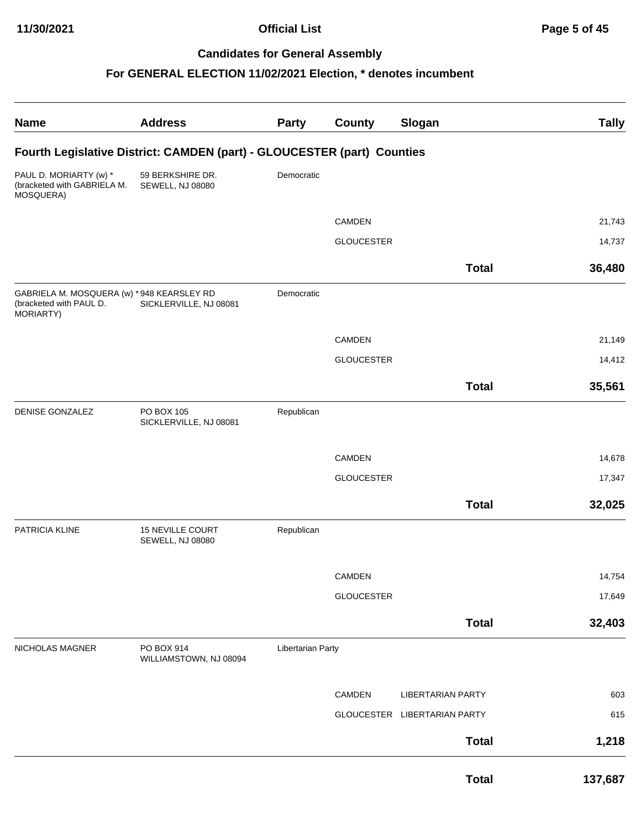| <b>Name</b>                                                                        | <b>Address</b>                                                          | <b>Party</b>             | <b>County</b>     | Slogan                       | <b>Tally</b> |
|------------------------------------------------------------------------------------|-------------------------------------------------------------------------|--------------------------|-------------------|------------------------------|--------------|
|                                                                                    | Fourth Legislative District: CAMDEN (part) - GLOUCESTER (part) Counties |                          |                   |                              |              |
| PAUL D. MORIARTY (w) *<br>(bracketed with GABRIELA M.<br>MOSQUERA)                 | 59 BERKSHIRE DR.<br>SEWELL, NJ 08080                                    | Democratic               |                   |                              |              |
|                                                                                    |                                                                         |                          | CAMDEN            |                              | 21,743       |
|                                                                                    |                                                                         |                          | <b>GLOUCESTER</b> |                              | 14,737       |
|                                                                                    |                                                                         |                          |                   |                              |              |
|                                                                                    |                                                                         |                          |                   | <b>Total</b>                 | 36,480       |
| GABRIELA M. MOSQUERA (w) * 948 KEARSLEY RD<br>(bracketed with PAUL D.<br>MORIARTY) | SICKLERVILLE, NJ 08081                                                  | Democratic               |                   |                              |              |
|                                                                                    |                                                                         |                          | CAMDEN            |                              | 21,149       |
|                                                                                    |                                                                         |                          | <b>GLOUCESTER</b> |                              | 14,412       |
|                                                                                    |                                                                         |                          |                   | <b>Total</b>                 | 35,561       |
|                                                                                    |                                                                         |                          |                   |                              |              |
| <b>DENISE GONZALEZ</b>                                                             | PO BOX 105<br>SICKLERVILLE, NJ 08081                                    | Republican               |                   |                              |              |
|                                                                                    |                                                                         |                          |                   |                              |              |
|                                                                                    |                                                                         |                          | <b>CAMDEN</b>     |                              | 14,678       |
|                                                                                    |                                                                         |                          | <b>GLOUCESTER</b> |                              | 17,347       |
|                                                                                    |                                                                         |                          |                   | <b>Total</b>                 | 32,025       |
| PATRICIA KLINE                                                                     | <b>15 NEVILLE COURT</b><br><b>SEWELL, NJ 08080</b>                      | Republican               |                   |                              |              |
|                                                                                    |                                                                         |                          | CAMDEN            |                              | 14,754       |
|                                                                                    |                                                                         |                          | <b>GLOUCESTER</b> |                              | 17,649       |
|                                                                                    |                                                                         |                          |                   |                              |              |
|                                                                                    |                                                                         |                          |                   | <b>Total</b>                 | 32,403       |
| NICHOLAS MAGNER                                                                    | PO BOX 914<br>WILLIAMSTOWN, NJ 08094                                    | <b>Libertarian Party</b> |                   |                              |              |
|                                                                                    |                                                                         |                          | CAMDEN            | <b>LIBERTARIAN PARTY</b>     | 603          |
|                                                                                    |                                                                         |                          |                   | GLOUCESTER LIBERTARIAN PARTY | 615          |
|                                                                                    |                                                                         |                          |                   | <b>Total</b>                 | 1,218        |
|                                                                                    |                                                                         |                          |                   | <b>Total</b>                 | 137,687      |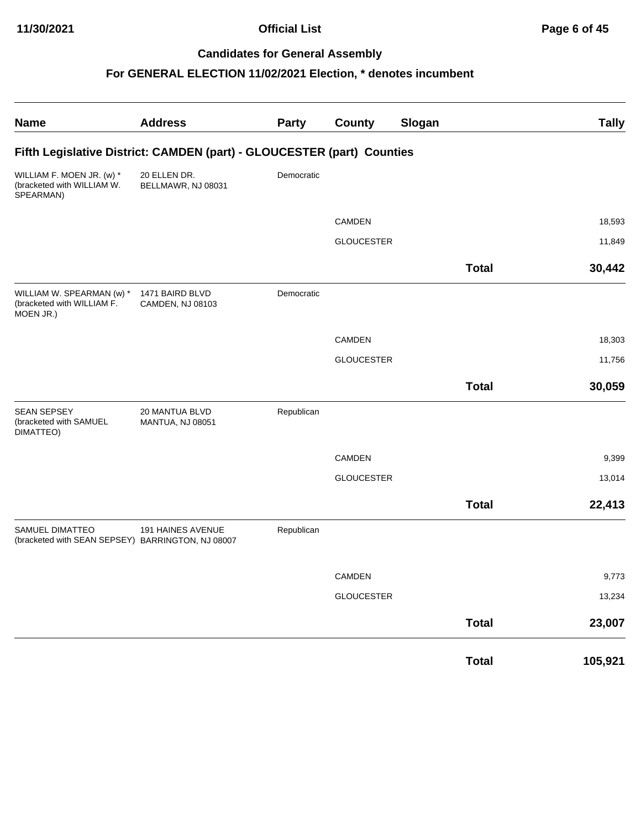**11/30/2021 Official List Page 6 of 45**

## **Candidates for General Assembly**

| <b>Name</b>                                                                 | <b>Address</b>                      | <b>Party</b> | <b>County</b>     | Slogan |              | <b>Tally</b> |
|-----------------------------------------------------------------------------|-------------------------------------|--------------|-------------------|--------|--------------|--------------|
| Fifth Legislative District: CAMDEN (part) - GLOUCESTER (part) Counties      |                                     |              |                   |        |              |              |
| WILLIAM F. MOEN JR. (w) *<br>(bracketed with WILLIAM W.<br>SPEARMAN)        | 20 ELLEN DR.<br>BELLMAWR, NJ 08031  | Democratic   |                   |        |              |              |
|                                                                             |                                     |              | <b>CAMDEN</b>     |        |              | 18,593       |
|                                                                             |                                     |              | <b>GLOUCESTER</b> |        |              | 11,849       |
|                                                                             |                                     |              |                   |        | <b>Total</b> | 30,442       |
| WILLIAM W. SPEARMAN (w) *<br>(bracketed with WILLIAM F.<br>MOEN JR.)        | 1471 BAIRD BLVD<br>CAMDEN, NJ 08103 | Democratic   |                   |        |              |              |
|                                                                             |                                     |              | CAMDEN            |        |              | 18,303       |
|                                                                             |                                     |              | <b>GLOUCESTER</b> |        |              | 11,756       |
|                                                                             |                                     |              |                   |        | <b>Total</b> | 30,059       |
| <b>SEAN SEPSEY</b><br>(bracketed with SAMUEL<br>DIMATTEO)                   | 20 MANTUA BLVD<br>MANTUA, NJ 08051  | Republican   |                   |        |              |              |
|                                                                             |                                     |              | CAMDEN            |        |              | 9,399        |
|                                                                             |                                     |              | <b>GLOUCESTER</b> |        |              | 13,014       |
|                                                                             |                                     |              |                   |        | <b>Total</b> | 22,413       |
| <b>SAMUEL DIMATTEO</b><br>(bracketed with SEAN SEPSEY) BARRINGTON, NJ 08007 | 191 HAINES AVENUE                   | Republican   |                   |        |              |              |
|                                                                             |                                     |              | CAMDEN            |        |              | 9,773        |
|                                                                             |                                     |              | <b>GLOUCESTER</b> |        |              | 13,234       |
|                                                                             |                                     |              |                   |        | <b>Total</b> | 23,007       |
|                                                                             |                                     |              |                   |        | <b>Total</b> | 105,921      |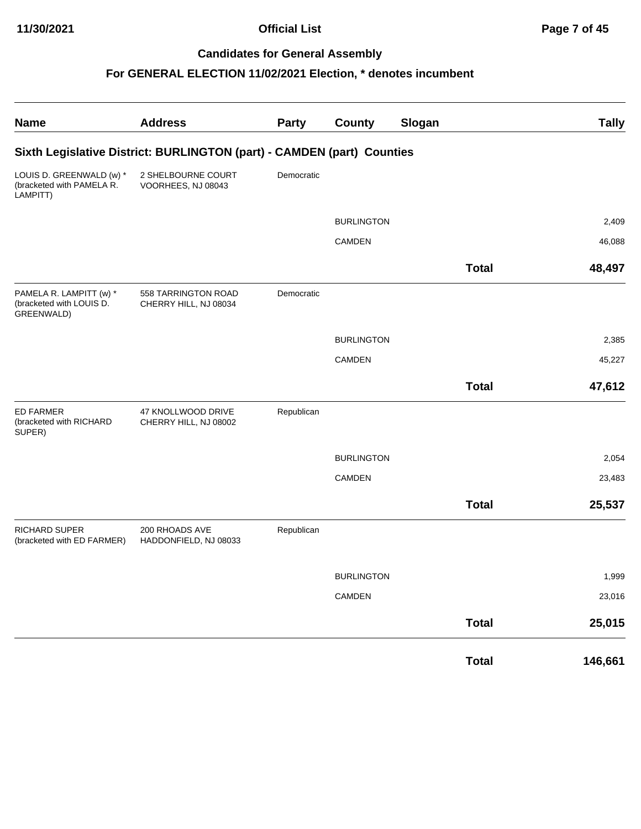| <b>Name</b>                                                       | <b>Address</b>                                                         | Party      | <b>County</b>     | Slogan |              | <b>Tally</b> |
|-------------------------------------------------------------------|------------------------------------------------------------------------|------------|-------------------|--------|--------------|--------------|
|                                                                   | Sixth Legislative District: BURLINGTON (part) - CAMDEN (part) Counties |            |                   |        |              |              |
| LOUIS D. GREENWALD (w) *<br>(bracketed with PAMELA R.<br>LAMPITT) | 2 SHELBOURNE COURT<br>VOORHEES, NJ 08043                               | Democratic |                   |        |              |              |
|                                                                   |                                                                        |            | <b>BURLINGTON</b> |        |              | 2,409        |
|                                                                   |                                                                        |            | CAMDEN            |        |              | 46,088       |
|                                                                   |                                                                        |            |                   |        | <b>Total</b> | 48,497       |
| PAMELA R. LAMPITT (w) *<br>(bracketed with LOUIS D.<br>GREENWALD) | 558 TARRINGTON ROAD<br>CHERRY HILL, NJ 08034                           | Democratic |                   |        |              |              |
|                                                                   |                                                                        |            | <b>BURLINGTON</b> |        |              | 2,385        |
|                                                                   |                                                                        |            | <b>CAMDEN</b>     |        |              | 45,227       |
|                                                                   |                                                                        |            |                   |        | <b>Total</b> | 47,612       |
| <b>ED FARMER</b><br>(bracketed with RICHARD<br>SUPER)             | 47 KNOLLWOOD DRIVE<br>CHERRY HILL, NJ 08002                            | Republican |                   |        |              |              |
|                                                                   |                                                                        |            | <b>BURLINGTON</b> |        |              | 2,054        |
|                                                                   |                                                                        |            | CAMDEN            |        |              | 23,483       |
|                                                                   |                                                                        |            |                   |        | <b>Total</b> | 25,537       |
| RICHARD SUPER<br>(bracketed with ED FARMER)                       | 200 RHOADS AVE<br>HADDONFIELD, NJ 08033                                | Republican |                   |        |              |              |
|                                                                   |                                                                        |            | <b>BURLINGTON</b> |        |              | 1,999        |
|                                                                   |                                                                        |            | CAMDEN            |        |              | 23,016       |
|                                                                   |                                                                        |            |                   |        | <b>Total</b> | 25,015       |
|                                                                   |                                                                        |            |                   |        | <b>Total</b> | 146,661      |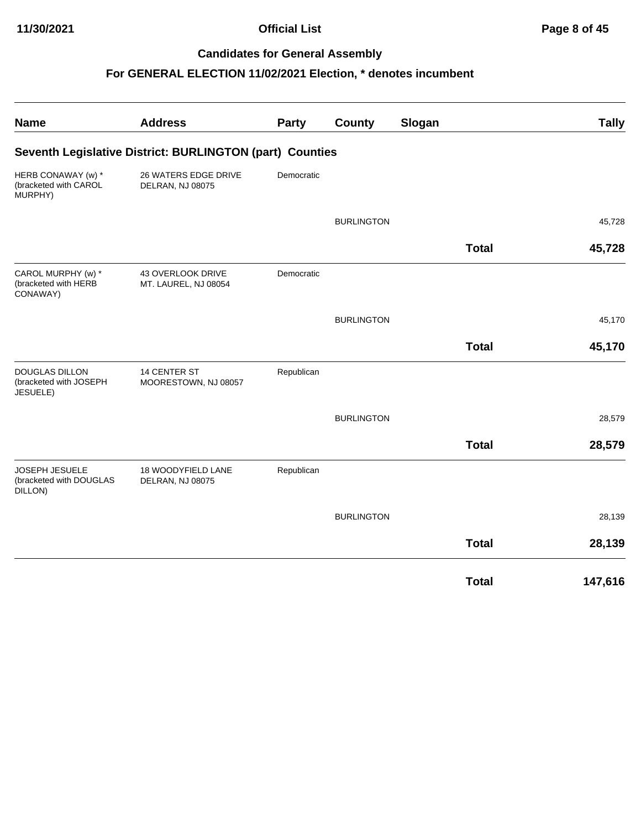## **11/30/2021 Official List Page 8 of 45**

## **Candidates for General Assembly**

| <b>Name</b>                                                 | <b>Address</b>                                           | Party      | County            | Slogan |              | <b>Tally</b> |
|-------------------------------------------------------------|----------------------------------------------------------|------------|-------------------|--------|--------------|--------------|
|                                                             | Seventh Legislative District: BURLINGTON (part) Counties |            |                   |        |              |              |
| HERB CONAWAY (w) *<br>(bracketed with CAROL<br>MURPHY)      | 26 WATERS EDGE DRIVE<br>DELRAN, NJ 08075                 | Democratic |                   |        |              |              |
|                                                             |                                                          |            | <b>BURLINGTON</b> |        |              | 45,728       |
|                                                             |                                                          |            |                   |        | <b>Total</b> | 45,728       |
| CAROL MURPHY (w) *<br>(bracketed with HERB<br>CONAWAY)      | 43 OVERLOOK DRIVE<br>MT. LAUREL, NJ 08054                | Democratic |                   |        |              |              |
|                                                             |                                                          |            | <b>BURLINGTON</b> |        |              | 45,170       |
|                                                             |                                                          |            |                   |        | <b>Total</b> | 45,170       |
| <b>DOUGLAS DILLON</b><br>(bracketed with JOSEPH<br>JESUELE) | <b>14 CENTER ST</b><br>MOORESTOWN, NJ 08057              | Republican |                   |        |              |              |
|                                                             |                                                          |            | <b>BURLINGTON</b> |        |              | 28,579       |
|                                                             |                                                          |            |                   |        | <b>Total</b> | 28,579       |
| JOSEPH JESUELE<br>(bracketed with DOUGLAS<br>DILLON)        | 18 WOODYFIELD LANE<br>DELRAN, NJ 08075                   | Republican |                   |        |              |              |
|                                                             |                                                          |            | <b>BURLINGTON</b> |        |              | 28,139       |
|                                                             |                                                          |            |                   |        | <b>Total</b> | 28,139       |
|                                                             |                                                          |            |                   |        | <b>Total</b> | 147,616      |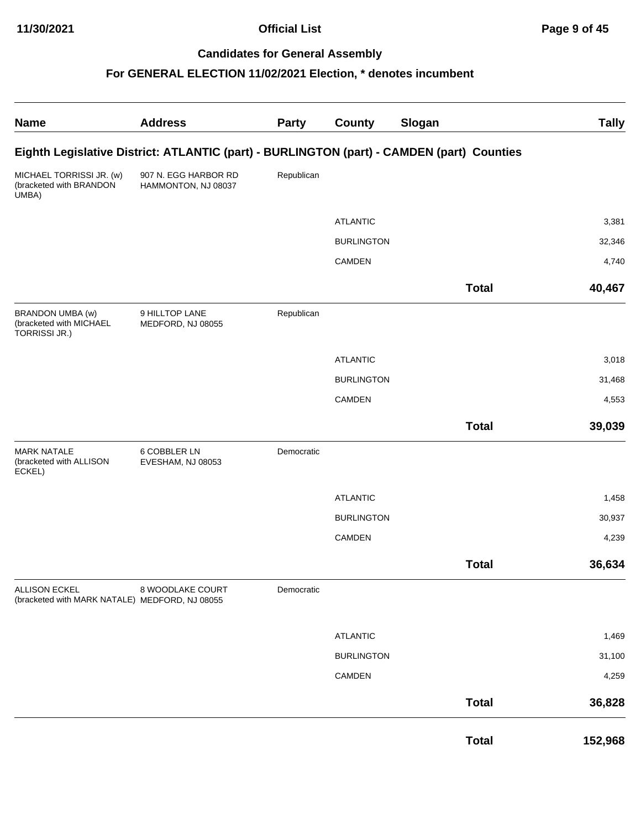**11/30/2021 Official List Page 9 of 45**

## **Candidates for General Assembly**

| <b>Name</b>                                                            | <b>Address</b>                              | Party      | County            | Slogan                                                                                    | <b>Tally</b> |
|------------------------------------------------------------------------|---------------------------------------------|------------|-------------------|-------------------------------------------------------------------------------------------|--------------|
|                                                                        |                                             |            |                   | Eighth Legislative District: ATLANTIC (part) - BURLINGTON (part) - CAMDEN (part) Counties |              |
| MICHAEL TORRISSI JR. (w)<br>(bracketed with BRANDON<br>UMBA)           | 907 N. EGG HARBOR RD<br>HAMMONTON, NJ 08037 | Republican |                   |                                                                                           |              |
|                                                                        |                                             |            | <b>ATLANTIC</b>   |                                                                                           | 3,381        |
|                                                                        |                                             |            | <b>BURLINGTON</b> |                                                                                           | 32,346       |
|                                                                        |                                             |            | CAMDEN            |                                                                                           | 4,740        |
|                                                                        |                                             |            |                   | <b>Total</b>                                                                              | 40,467       |
| BRANDON UMBA (w)<br>(bracketed with MICHAEL<br><b>TORRISSI JR.)</b>    | 9 HILLTOP LANE<br>MEDFORD, NJ 08055         | Republican |                   |                                                                                           |              |
|                                                                        |                                             |            | <b>ATLANTIC</b>   |                                                                                           | 3,018        |
|                                                                        |                                             |            | <b>BURLINGTON</b> |                                                                                           | 31,468       |
|                                                                        |                                             |            | CAMDEN            |                                                                                           | 4,553        |
|                                                                        |                                             |            |                   | <b>Total</b>                                                                              | 39,039       |
| <b>MARK NATALE</b><br>(bracketed with ALLISON<br>ECKEL)                | 6 COBBLER LN<br>EVESHAM, NJ 08053           | Democratic |                   |                                                                                           |              |
|                                                                        |                                             |            | <b>ATLANTIC</b>   |                                                                                           | 1,458        |
|                                                                        |                                             |            | <b>BURLINGTON</b> |                                                                                           | 30,937       |
|                                                                        |                                             |            | CAMDEN            |                                                                                           | 4,239        |
|                                                                        |                                             |            |                   | <b>Total</b>                                                                              | 36,634       |
| <b>ALLISON ECKEL</b><br>(bracketed with MARK NATALE) MEDFORD, NJ 08055 | 8 WOODLAKE COURT                            | Democratic |                   |                                                                                           |              |
|                                                                        |                                             |            | <b>ATLANTIC</b>   |                                                                                           | 1,469        |
|                                                                        |                                             |            | <b>BURLINGTON</b> |                                                                                           | 31,100       |
|                                                                        |                                             |            | CAMDEN            |                                                                                           | 4,259        |
|                                                                        |                                             |            |                   | <b>Total</b>                                                                              | 36,828       |
|                                                                        |                                             |            |                   | <b>Total</b>                                                                              | 152,968      |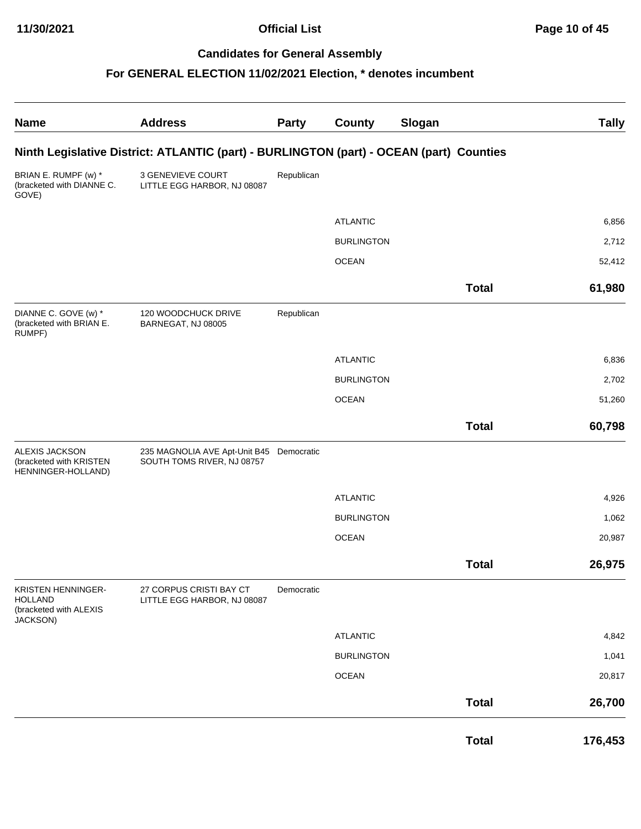| <b>Name</b>                                                                | <b>Address</b>                                                                          | <b>Party</b> | <b>County</b>     | Slogan |              | <b>Tally</b> |
|----------------------------------------------------------------------------|-----------------------------------------------------------------------------------------|--------------|-------------------|--------|--------------|--------------|
|                                                                            | Ninth Legislative District: ATLANTIC (part) - BURLINGTON (part) - OCEAN (part) Counties |              |                   |        |              |              |
| BRIAN E. RUMPF (w) *<br>(bracketed with DIANNE C.<br>GOVE)                 | 3 GENEVIEVE COURT<br>LITTLE EGG HARBOR, NJ 08087                                        | Republican   |                   |        |              |              |
|                                                                            |                                                                                         |              | <b>ATLANTIC</b>   |        |              | 6,856        |
|                                                                            |                                                                                         |              | <b>BURLINGTON</b> |        |              | 2,712        |
|                                                                            |                                                                                         |              | <b>OCEAN</b>      |        |              | 52,412       |
|                                                                            |                                                                                         |              |                   |        | <b>Total</b> | 61,980       |
| DIANNE C. GOVE (w) *<br>(bracketed with BRIAN E.<br>RUMPF)                 | 120 WOODCHUCK DRIVE<br>BARNEGAT, NJ 08005                                               | Republican   |                   |        |              |              |
|                                                                            |                                                                                         |              | <b>ATLANTIC</b>   |        |              | 6,836        |
|                                                                            |                                                                                         |              | <b>BURLINGTON</b> |        |              | 2,702        |
|                                                                            |                                                                                         |              | <b>OCEAN</b>      |        |              | 51,260       |
|                                                                            |                                                                                         |              |                   |        | <b>Total</b> | 60,798       |
| ALEXIS JACKSON<br>(bracketed with KRISTEN<br>HENNINGER-HOLLAND)            | 235 MAGNOLIA AVE Apt-Unit B45 Democratic<br>SOUTH TOMS RIVER, NJ 08757                  |              |                   |        |              |              |
|                                                                            |                                                                                         |              | <b>ATLANTIC</b>   |        |              | 4,926        |
|                                                                            |                                                                                         |              | <b>BURLINGTON</b> |        |              | 1,062        |
|                                                                            |                                                                                         |              | <b>OCEAN</b>      |        |              | 20,987       |
|                                                                            |                                                                                         |              |                   |        | <b>Total</b> | 26,975       |
| KRISTEN HENNINGER-<br><b>HOLLAND</b><br>(bracketed with ALEXIS<br>JACKSON) | 27 CORPUS CRISTI BAY CT<br>LITTLE EGG HARBOR, NJ 08087                                  | Democratic   |                   |        |              |              |
|                                                                            |                                                                                         |              | <b>ATLANTIC</b>   |        |              | 4,842        |
|                                                                            |                                                                                         |              | <b>BURLINGTON</b> |        |              | 1,041        |
|                                                                            |                                                                                         |              | <b>OCEAN</b>      |        |              | 20,817       |
|                                                                            |                                                                                         |              |                   |        | <b>Total</b> | 26,700       |
|                                                                            |                                                                                         |              |                   |        | <b>Total</b> | 176,453      |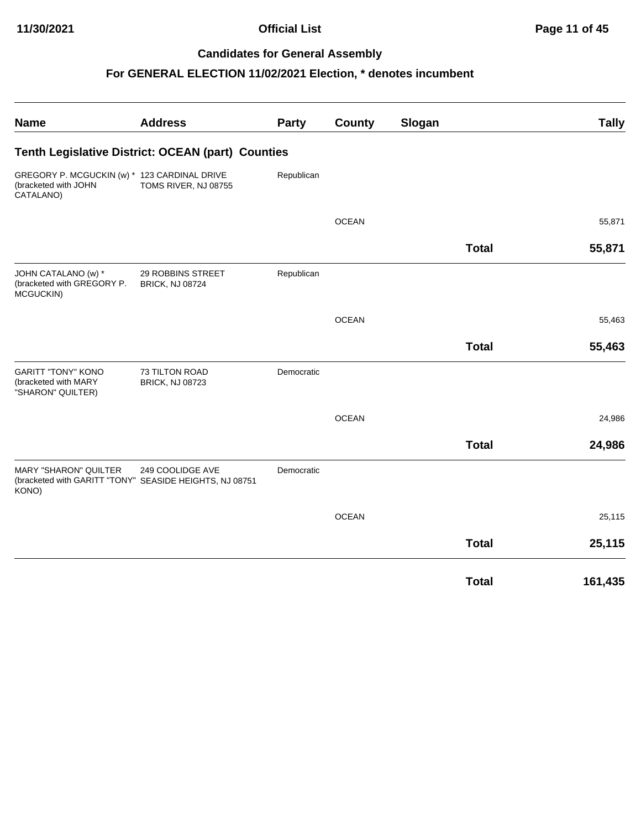| <b>Name</b>                                                                       | <b>Address</b>                                                              | <b>Party</b> | County       | Slogan |              | <b>Tally</b> |
|-----------------------------------------------------------------------------------|-----------------------------------------------------------------------------|--------------|--------------|--------|--------------|--------------|
|                                                                                   | Tenth Legislative District: OCEAN (part) Counties                           |              |              |        |              |              |
| GREGORY P. MCGUCKIN (w) * 123 CARDINAL DRIVE<br>(bracketed with JOHN<br>CATALANO) | TOMS RIVER, NJ 08755                                                        | Republican   |              |        |              |              |
|                                                                                   |                                                                             |              | <b>OCEAN</b> |        |              | 55,871       |
|                                                                                   |                                                                             |              |              |        | <b>Total</b> | 55,871       |
| JOHN CATALANO (w) *<br>(bracketed with GREGORY P.<br>MCGUCKIN)                    | 29 ROBBINS STREET<br><b>BRICK, NJ 08724</b>                                 | Republican   |              |        |              |              |
|                                                                                   |                                                                             |              | <b>OCEAN</b> |        |              | 55,463       |
|                                                                                   |                                                                             |              |              |        | <b>Total</b> | 55,463       |
| <b>GARITT "TONY" KONO</b><br>(bracketed with MARY<br>"SHARON" QUILTER)            | <b>73 TILTON ROAD</b><br><b>BRICK, NJ 08723</b>                             | Democratic   |              |        |              |              |
|                                                                                   |                                                                             |              | <b>OCEAN</b> |        |              | 24,986       |
|                                                                                   |                                                                             |              |              |        | <b>Total</b> | 24,986       |
| <b>MARY "SHARON" QUILTER</b><br>KONO)                                             | 249 COOLIDGE AVE<br>(bracketed with GARITT "TONY" SEASIDE HEIGHTS, NJ 08751 | Democratic   |              |        |              |              |
|                                                                                   |                                                                             |              | <b>OCEAN</b> |        |              | 25,115       |
|                                                                                   |                                                                             |              |              |        | <b>Total</b> | 25,115       |
|                                                                                   |                                                                             |              |              |        | <b>Total</b> | 161,435      |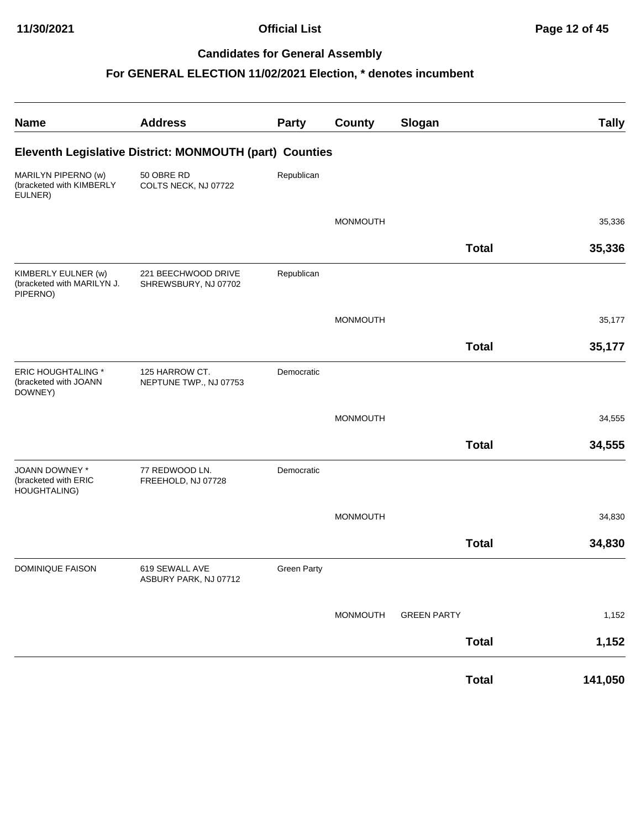| <b>Name</b>                                                   | <b>Address</b>                                          | <b>Party</b>       | <b>County</b>   | Slogan             |              | <b>Tally</b> |
|---------------------------------------------------------------|---------------------------------------------------------|--------------------|-----------------|--------------------|--------------|--------------|
|                                                               | Eleventh Legislative District: MONMOUTH (part) Counties |                    |                 |                    |              |              |
| MARILYN PIPERNO (w)<br>(bracketed with KIMBERLY<br>EULNER)    | 50 OBRE RD<br>COLTS NECK, NJ 07722                      | Republican         |                 |                    |              |              |
|                                                               |                                                         |                    | <b>MONMOUTH</b> |                    |              | 35,336       |
|                                                               |                                                         |                    |                 |                    | <b>Total</b> | 35,336       |
| KIMBERLY EULNER (w)<br>(bracketed with MARILYN J.<br>PIPERNO) | 221 BEECHWOOD DRIVE<br>SHREWSBURY, NJ 07702             | Republican         |                 |                    |              |              |
|                                                               |                                                         |                    | <b>MONMOUTH</b> |                    |              | 35,177       |
|                                                               |                                                         |                    |                 |                    | <b>Total</b> | 35,177       |
| <b>ERIC HOUGHTALING *</b><br>(bracketed with JOANN<br>DOWNEY) | 125 HARROW CT.<br>NEPTUNE TWP., NJ 07753                | Democratic         |                 |                    |              |              |
|                                                               |                                                         |                    | <b>MONMOUTH</b> |                    |              | 34,555       |
|                                                               |                                                         |                    |                 |                    | <b>Total</b> | 34,555       |
| JOANN DOWNEY *<br>(bracketed with ERIC<br>HOUGHTALING)        | 77 REDWOOD LN.<br>FREEHOLD, NJ 07728                    | Democratic         |                 |                    |              |              |
|                                                               |                                                         |                    | <b>MONMOUTH</b> |                    |              | 34,830       |
|                                                               |                                                         |                    |                 |                    | <b>Total</b> | 34,830       |
| <b>DOMINIQUE FAISON</b>                                       | 619 SEWALL AVE<br>ASBURY PARK, NJ 07712                 | <b>Green Party</b> |                 |                    |              |              |
|                                                               |                                                         |                    | MONMOUTH        | <b>GREEN PARTY</b> |              | 1,152        |
|                                                               |                                                         |                    |                 |                    | <b>Total</b> | 1,152        |
|                                                               |                                                         |                    |                 |                    | <b>Total</b> | 141,050      |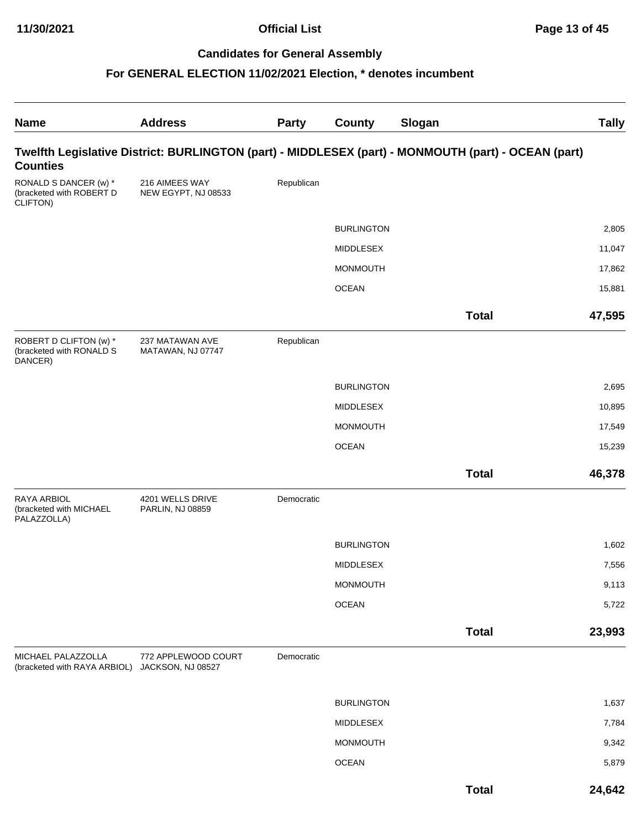| <b>Name</b>                                                   | <b>Address</b>                           | <b>Party</b> | County            | Slogan                                                                                              | <b>Tally</b> |
|---------------------------------------------------------------|------------------------------------------|--------------|-------------------|-----------------------------------------------------------------------------------------------------|--------------|
| <b>Counties</b>                                               |                                          |              |                   | Twelfth Legislative District: BURLINGTON (part) - MIDDLESEX (part) - MONMOUTH (part) - OCEAN (part) |              |
| RONALD S DANCER (w) *<br>(bracketed with ROBERT D<br>CLIFTON) | 216 AIMEES WAY<br>NEW EGYPT, NJ 08533    | Republican   |                   |                                                                                                     |              |
|                                                               |                                          |              | <b>BURLINGTON</b> |                                                                                                     | 2,805        |
|                                                               |                                          |              | MIDDLESEX         |                                                                                                     | 11,047       |
|                                                               |                                          |              | <b>MONMOUTH</b>   |                                                                                                     | 17,862       |
|                                                               |                                          |              | <b>OCEAN</b>      |                                                                                                     | 15,881       |
|                                                               |                                          |              |                   | <b>Total</b>                                                                                        | 47,595       |
| ROBERT D CLIFTON (w) *<br>(bracketed with RONALD S<br>DANCER) | 237 MATAWAN AVE<br>MATAWAN, NJ 07747     | Republican   |                   |                                                                                                     |              |
|                                                               |                                          |              | <b>BURLINGTON</b> |                                                                                                     | 2,695        |
|                                                               |                                          |              | MIDDLESEX         |                                                                                                     | 10,895       |
|                                                               |                                          |              | <b>MONMOUTH</b>   |                                                                                                     | 17,549       |
|                                                               |                                          |              | <b>OCEAN</b>      |                                                                                                     | 15,239       |
|                                                               |                                          |              |                   | <b>Total</b>                                                                                        | 46,378       |
| RAYA ARBIOL<br>(bracketed with MICHAEL<br>PALAZZOLLA)         | 4201 WELLS DRIVE<br>PARLIN, NJ 08859     | Democratic   |                   |                                                                                                     |              |
|                                                               |                                          |              | <b>BURLINGTON</b> |                                                                                                     | 1,602        |
|                                                               |                                          |              | <b>MIDDLESEX</b>  |                                                                                                     | 7,556        |
|                                                               |                                          |              | MONMOUTH          |                                                                                                     | 9,113        |
|                                                               |                                          |              | <b>OCEAN</b>      |                                                                                                     | 5,722        |
|                                                               |                                          |              |                   | <b>Total</b>                                                                                        | 23,993       |
| MICHAEL PALAZZOLLA<br>(bracketed with RAYA ARBIOL)            | 772 APPLEWOOD COURT<br>JACKSON, NJ 08527 | Democratic   |                   |                                                                                                     |              |
|                                                               |                                          |              | <b>BURLINGTON</b> |                                                                                                     | 1,637        |
|                                                               |                                          |              | MIDDLESEX         |                                                                                                     | 7,784        |
|                                                               |                                          |              | MONMOUTH          |                                                                                                     | 9,342        |
|                                                               |                                          |              | <b>OCEAN</b>      |                                                                                                     | 5,879        |
|                                                               |                                          |              |                   | <b>Total</b>                                                                                        | 24,642       |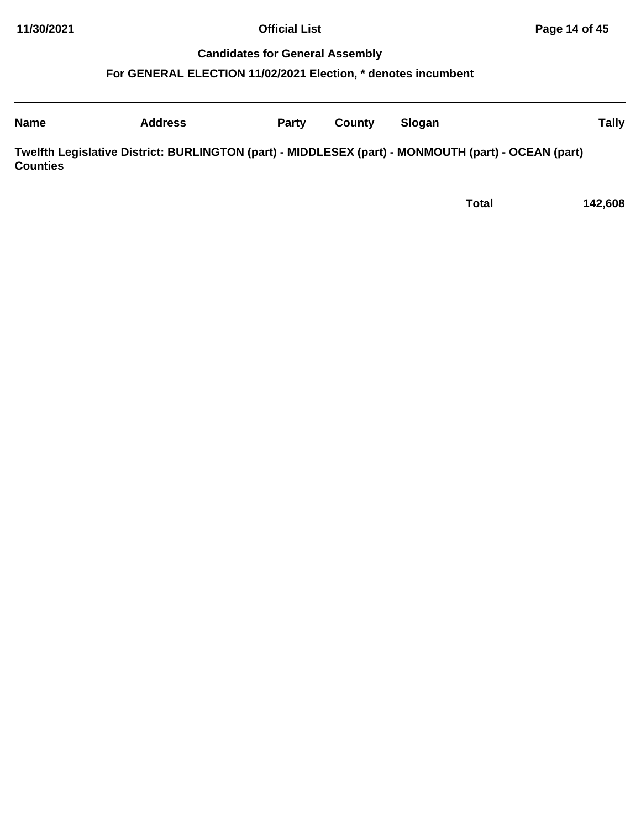#### **For GENERAL ELECTION 11/02/2021 Election, \* denotes incumbent**

| <b>Name</b> | Address | <b>Party</b> | County | Slogan | rally |
|-------------|---------|--------------|--------|--------|-------|
|             |         |              |        |        |       |

**Twelfth Legislative District: BURLINGTON (part) - MIDDLESEX (part) - MONMOUTH (part) - OCEAN (part) Counties**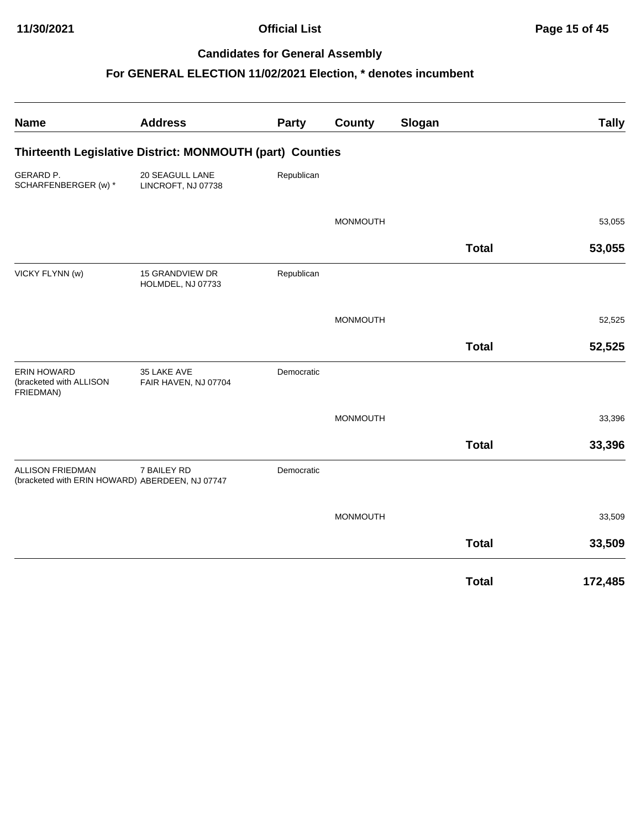| <b>Name</b>                                                                | <b>Address</b>                                            | Party      | County          | Slogan       | <b>Tally</b> |
|----------------------------------------------------------------------------|-----------------------------------------------------------|------------|-----------------|--------------|--------------|
|                                                                            | Thirteenth Legislative District: MONMOUTH (part) Counties |            |                 |              |              |
| GERARD P.<br>SCHARFENBERGER (w) *                                          | 20 SEAGULL LANE<br>LINCROFT, NJ 07738                     | Republican |                 |              |              |
|                                                                            |                                                           |            | <b>MONMOUTH</b> |              | 53,055       |
|                                                                            |                                                           |            |                 | <b>Total</b> | 53,055       |
| VICKY FLYNN (w)                                                            | 15 GRANDVIEW DR<br>HOLMDEL, NJ 07733                      | Republican |                 |              |              |
|                                                                            |                                                           |            | <b>MONMOUTH</b> |              | 52,525       |
|                                                                            |                                                           |            |                 | <b>Total</b> | 52,525       |
| <b>ERIN HOWARD</b><br>(bracketed with ALLISON<br>FRIEDMAN)                 | 35 LAKE AVE<br>FAIR HAVEN, NJ 07704                       | Democratic |                 |              |              |
|                                                                            |                                                           |            | <b>MONMOUTH</b> |              | 33,396       |
|                                                                            |                                                           |            |                 | <b>Total</b> | 33,396       |
| <b>ALLISON FRIEDMAN</b><br>(bracketed with ERIN HOWARD) ABERDEEN, NJ 07747 | 7 BAILEY RD                                               | Democratic |                 |              |              |
|                                                                            |                                                           |            | <b>MONMOUTH</b> |              | 33,509       |
|                                                                            |                                                           |            |                 | <b>Total</b> | 33,509       |
|                                                                            |                                                           |            |                 | <b>Total</b> | 172,485      |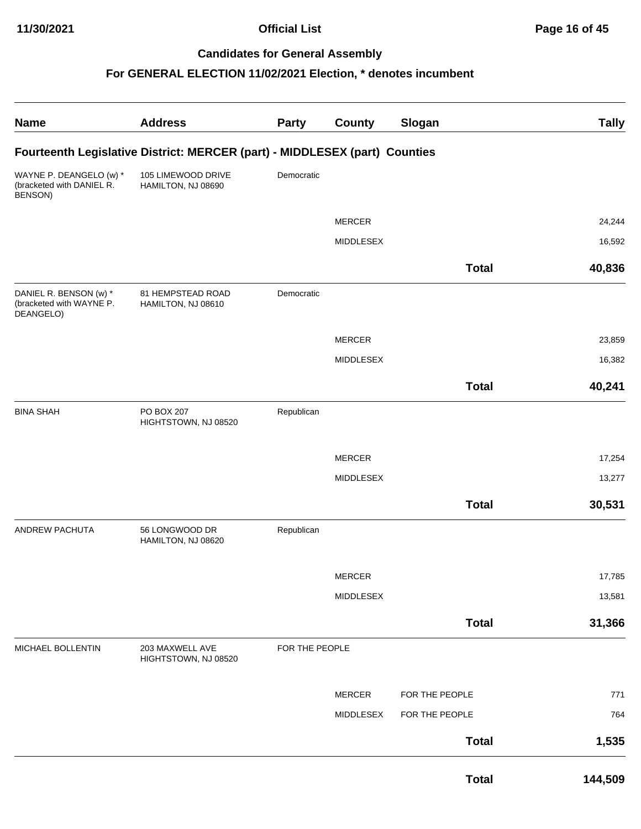| <b>Name</b>                                                     | <b>Address</b>                                                             | <b>Party</b>   | <b>County</b>    | Slogan         | <b>Tally</b> |
|-----------------------------------------------------------------|----------------------------------------------------------------------------|----------------|------------------|----------------|--------------|
|                                                                 | Fourteenth Legislative District: MERCER (part) - MIDDLESEX (part) Counties |                |                  |                |              |
| WAYNE P. DEANGELO (w) *<br>(bracketed with DANIEL R.<br>BENSON) | 105 LIMEWOOD DRIVE<br>HAMILTON, NJ 08690                                   | Democratic     |                  |                |              |
|                                                                 |                                                                            |                | <b>MERCER</b>    |                | 24,244       |
|                                                                 |                                                                            |                | <b>MIDDLESEX</b> |                | 16,592       |
|                                                                 |                                                                            |                |                  |                |              |
|                                                                 |                                                                            |                |                  | <b>Total</b>   | 40,836       |
| DANIEL R. BENSON (w) *<br>(bracketed with WAYNE P.<br>DEANGELO) | 81 HEMPSTEAD ROAD<br>HAMILTON, NJ 08610                                    | Democratic     |                  |                |              |
|                                                                 |                                                                            |                | <b>MERCER</b>    |                | 23,859       |
|                                                                 |                                                                            |                | MIDDLESEX        |                | 16,382       |
|                                                                 |                                                                            |                |                  | <b>Total</b>   | 40,241       |
|                                                                 |                                                                            |                |                  |                |              |
| <b>BINA SHAH</b>                                                | PO BOX 207<br>HIGHTSTOWN, NJ 08520                                         | Republican     |                  |                |              |
|                                                                 |                                                                            |                |                  |                |              |
|                                                                 |                                                                            |                | <b>MERCER</b>    |                | 17,254       |
|                                                                 |                                                                            |                | MIDDLESEX        |                | 13,277       |
|                                                                 |                                                                            |                |                  | <b>Total</b>   | 30,531       |
| ANDREW PACHUTA                                                  | 56 LONGWOOD DR<br>HAMILTON, NJ 08620                                       | Republican     |                  |                |              |
|                                                                 |                                                                            |                | MERCER           |                | 17,785       |
|                                                                 |                                                                            |                | MIDDLESEX        |                | 13,581       |
|                                                                 |                                                                            |                |                  |                |              |
|                                                                 |                                                                            |                |                  | <b>Total</b>   | 31,366       |
| MICHAEL BOLLENTIN                                               | 203 MAXWELL AVE<br>HIGHTSTOWN, NJ 08520                                    | FOR THE PEOPLE |                  |                |              |
|                                                                 |                                                                            |                | MERCER           | FOR THE PEOPLE | 771          |
|                                                                 |                                                                            |                | MIDDLESEX        | FOR THE PEOPLE | 764          |
|                                                                 |                                                                            |                |                  | <b>Total</b>   | 1,535        |
|                                                                 |                                                                            |                |                  | <b>Total</b>   | 144,509      |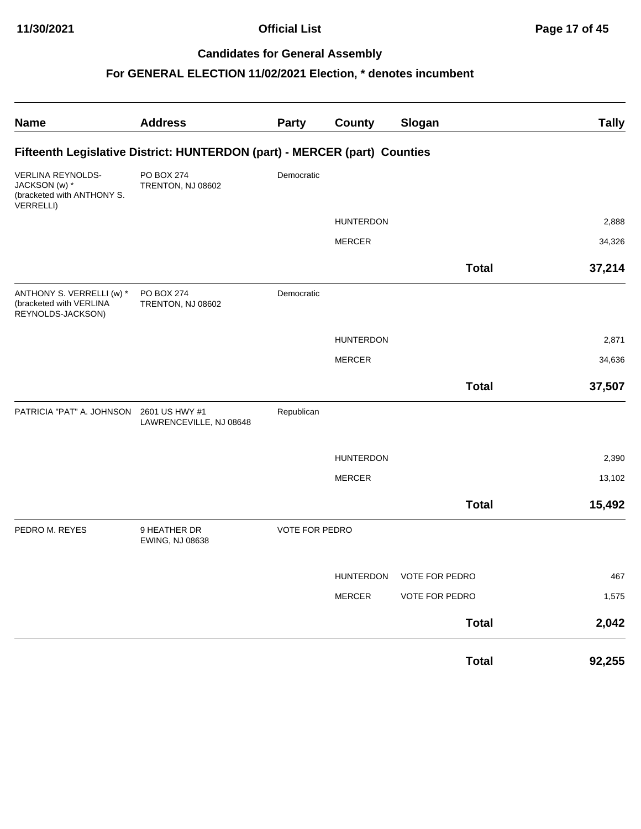| <b>Name</b>                                                                          | <b>Address</b>                                                            | Party                 | <b>County</b>    | Slogan                   | <b>Tally</b> |
|--------------------------------------------------------------------------------------|---------------------------------------------------------------------------|-----------------------|------------------|--------------------------|--------------|
|                                                                                      | Fifteenth Legislative District: HUNTERDON (part) - MERCER (part) Counties |                       |                  |                          |              |
| VERLINA REYNOLDS-<br>JACKSON (w) *<br>(bracketed with ANTHONY S.<br><b>VERRELLI)</b> | PO BOX 274<br>TRENTON, NJ 08602                                           | Democratic            |                  |                          |              |
|                                                                                      |                                                                           |                       | <b>HUNTERDON</b> |                          | 2,888        |
|                                                                                      |                                                                           |                       | <b>MERCER</b>    |                          | 34,326       |
|                                                                                      |                                                                           |                       |                  | <b>Total</b>             | 37,214       |
| ANTHONY S. VERRELLI (w) *<br>(bracketed with VERLINA<br>REYNOLDS-JACKSON)            | PO BOX 274<br>TRENTON, NJ 08602                                           | Democratic            |                  |                          |              |
|                                                                                      |                                                                           |                       | <b>HUNTERDON</b> |                          | 2,871        |
|                                                                                      |                                                                           |                       | <b>MERCER</b>    |                          | 34,636       |
|                                                                                      |                                                                           |                       |                  | <b>Total</b>             | 37,507       |
| PATRICIA "PAT" A. JOHNSON                                                            | 2601 US HWY #1<br>LAWRENCEVILLE, NJ 08648                                 | Republican            |                  |                          |              |
|                                                                                      |                                                                           |                       | <b>HUNTERDON</b> |                          | 2,390        |
|                                                                                      |                                                                           |                       | <b>MERCER</b>    |                          | 13,102       |
|                                                                                      |                                                                           |                       |                  | <b>Total</b>             | 15,492       |
| PEDRO M. REYES                                                                       | 9 HEATHER DR<br>EWING, NJ 08638                                           | <b>VOTE FOR PEDRO</b> |                  |                          |              |
|                                                                                      |                                                                           |                       |                  | HUNTERDON VOTE FOR PEDRO | 467          |
|                                                                                      |                                                                           |                       | <b>MERCER</b>    | <b>VOTE FOR PEDRO</b>    | 1,575        |
|                                                                                      |                                                                           |                       |                  | <b>Total</b>             | 2,042        |
|                                                                                      |                                                                           |                       |                  | <b>Total</b>             | 92,255       |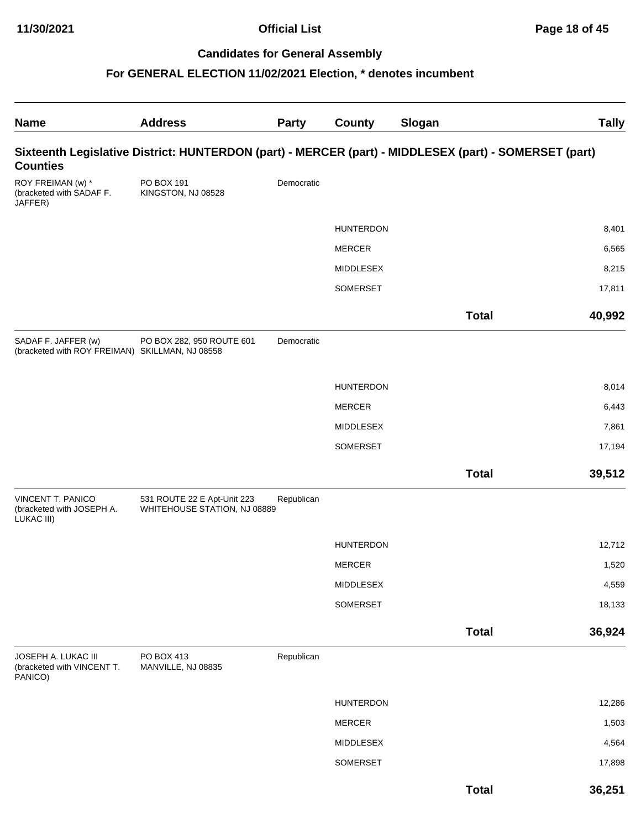| <b>Name</b>                                                            | <b>Address</b>                                                                                        | <b>Party</b> | <b>County</b>    | Slogan       | <b>Tally</b> |
|------------------------------------------------------------------------|-------------------------------------------------------------------------------------------------------|--------------|------------------|--------------|--------------|
| <b>Counties</b>                                                        | Sixteenth Legislative District: HUNTERDON (part) - MERCER (part) - MIDDLESEX (part) - SOMERSET (part) |              |                  |              |              |
| ROY FREIMAN (w) *<br>(bracketed with SADAF F.<br>JAFFER)               | PO BOX 191<br>KINGSTON, NJ 08528                                                                      | Democratic   |                  |              |              |
|                                                                        |                                                                                                       |              | <b>HUNTERDON</b> |              | 8,401        |
|                                                                        |                                                                                                       |              | <b>MERCER</b>    |              | 6,565        |
|                                                                        |                                                                                                       |              | <b>MIDDLESEX</b> |              | 8,215        |
|                                                                        |                                                                                                       |              | SOMERSET         |              | 17,811       |
|                                                                        |                                                                                                       |              |                  | <b>Total</b> | 40,992       |
| SADAF F. JAFFER (w)<br>(bracketed with ROY FREIMAN) SKILLMAN, NJ 08558 | PO BOX 282, 950 ROUTE 601                                                                             | Democratic   |                  |              |              |
|                                                                        |                                                                                                       |              | <b>HUNTERDON</b> |              | 8,014        |
|                                                                        |                                                                                                       |              | <b>MERCER</b>    |              | 6,443        |
|                                                                        |                                                                                                       |              | <b>MIDDLESEX</b> |              | 7,861        |
|                                                                        |                                                                                                       |              | SOMERSET         |              | 17,194       |
|                                                                        |                                                                                                       |              |                  | <b>Total</b> | 39,512       |
| VINCENT T. PANICO<br>(bracketed with JOSEPH A.<br>LUKAC III)           | 531 ROUTE 22 E Apt-Unit 223<br>WHITEHOUSE STATION, NJ 08889                                           | Republican   |                  |              |              |
|                                                                        |                                                                                                       |              | <b>HUNTERDON</b> |              | 12,712       |
|                                                                        |                                                                                                       |              | <b>MERCER</b>    |              | 1,520        |
|                                                                        |                                                                                                       |              | MIDDLESEX        |              | 4,559        |
|                                                                        |                                                                                                       |              | SOMERSET         |              | 18,133       |
|                                                                        |                                                                                                       |              |                  | <b>Total</b> | 36,924       |
| JOSEPH A. LUKAC III<br>(bracketed with VINCENT T.<br>PANICO)           | PO BOX 413<br>MANVILLE, NJ 08835                                                                      | Republican   |                  |              |              |
|                                                                        |                                                                                                       |              | <b>HUNTERDON</b> |              | 12,286       |
|                                                                        |                                                                                                       |              | MERCER           |              | 1,503        |
|                                                                        |                                                                                                       |              | MIDDLESEX        |              | 4,564        |
|                                                                        |                                                                                                       |              | SOMERSET         |              | 17,898       |
|                                                                        |                                                                                                       |              |                  | <b>Total</b> | 36,251       |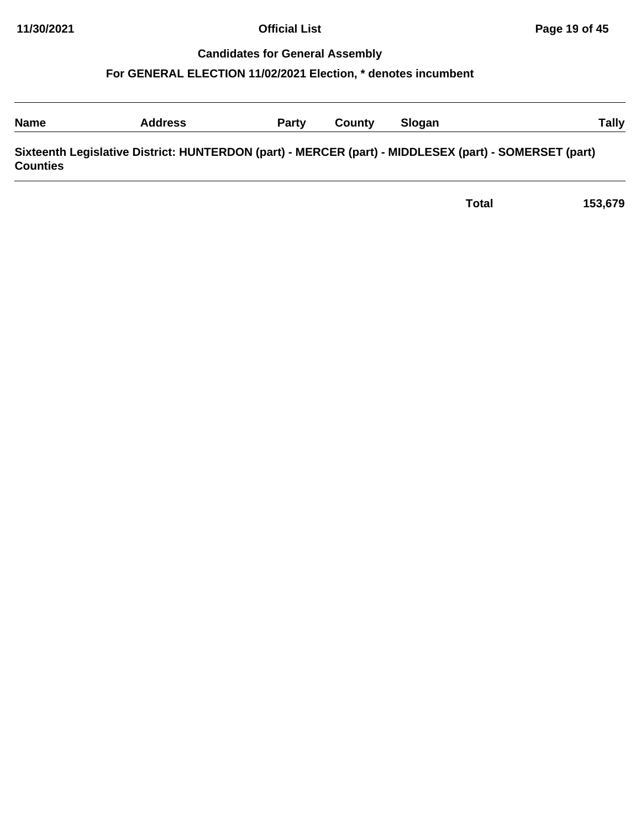| <b>Name</b>     | <b>Address</b>                                                                                        | Party | County | <b>Slogan</b> | Tally |
|-----------------|-------------------------------------------------------------------------------------------------------|-------|--------|---------------|-------|
| <b>Counties</b> | Sixteenth Legislative District: HUNTERDON (part) - MERCER (part) - MIDDLESEX (part) - SOMERSET (part) |       |        |               |       |

| 153,679 |
|---------|
|         |
|         |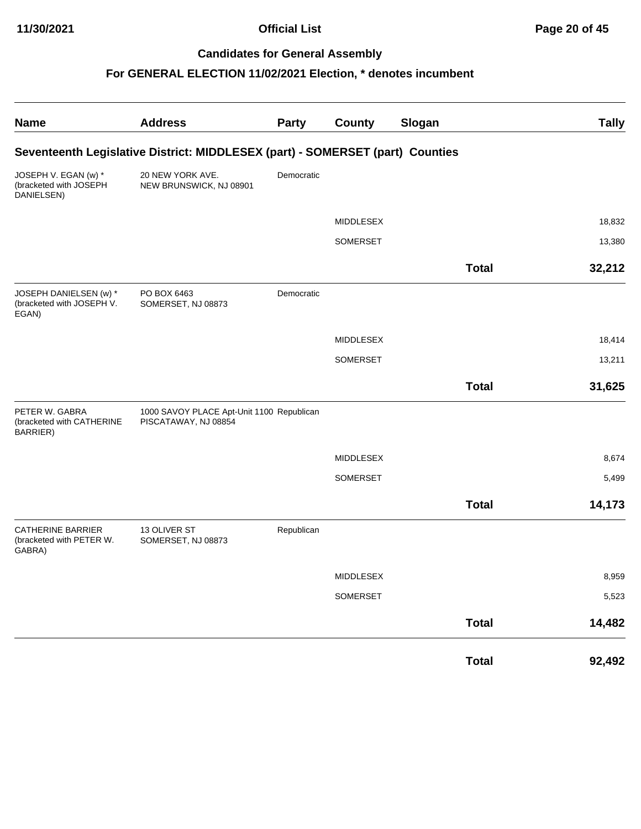| <b>Name</b>                                                    | <b>Address</b>                                                                | Party      | County           | Slogan       | <b>Tally</b> |
|----------------------------------------------------------------|-------------------------------------------------------------------------------|------------|------------------|--------------|--------------|
|                                                                | Seventeenth Legislative District: MIDDLESEX (part) - SOMERSET (part) Counties |            |                  |              |              |
| JOSEPH V. EGAN (w) *<br>(bracketed with JOSEPH<br>DANIELSEN)   | 20 NEW YORK AVE.<br>NEW BRUNSWICK, NJ 08901                                   | Democratic |                  |              |              |
|                                                                |                                                                               |            | <b>MIDDLESEX</b> |              | 18,832       |
|                                                                |                                                                               |            | SOMERSET         |              | 13,380       |
|                                                                |                                                                               |            |                  | <b>Total</b> | 32,212       |
| JOSEPH DANIELSEN (w) *<br>(bracketed with JOSEPH V.<br>EGAN)   | PO BOX 6463<br>SOMERSET, NJ 08873                                             | Democratic |                  |              |              |
|                                                                |                                                                               |            | MIDDLESEX        |              | 18,414       |
|                                                                |                                                                               |            | SOMERSET         |              | 13,211       |
|                                                                |                                                                               |            |                  | <b>Total</b> | 31,625       |
| PETER W. GABRA<br>(bracketed with CATHERINE<br>BARRIER)        | 1000 SAVOY PLACE Apt-Unit 1100 Republican<br>PISCATAWAY, NJ 08854             |            |                  |              |              |
|                                                                |                                                                               |            | MIDDLESEX        |              | 8,674        |
|                                                                |                                                                               |            | SOMERSET         |              | 5,499        |
|                                                                |                                                                               |            |                  | <b>Total</b> | 14,173       |
| <b>CATHERINE BARRIER</b><br>(bracketed with PETER W.<br>GABRA) | 13 OLIVER ST<br>SOMERSET, NJ 08873                                            | Republican |                  |              |              |
|                                                                |                                                                               |            | MIDDLESEX        |              | 8,959        |
|                                                                |                                                                               |            | SOMERSET         |              | 5,523        |
|                                                                |                                                                               |            |                  | <b>Total</b> | 14,482       |
|                                                                |                                                                               |            |                  | <b>Total</b> | 92,492       |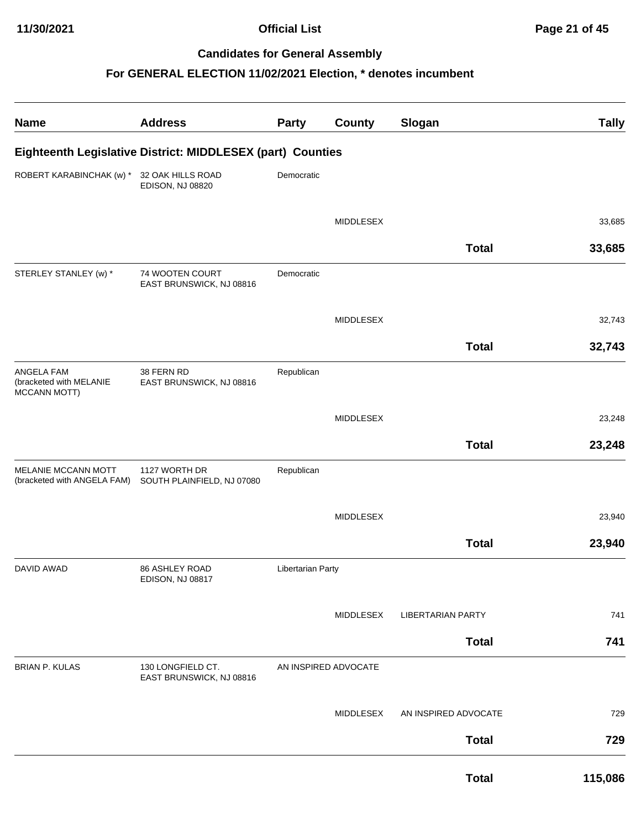| <b>Name</b>                                                         | <b>Address</b>                                             | <b>Party</b>      | <b>County</b>        | Slogan                   | <b>Tally</b> |
|---------------------------------------------------------------------|------------------------------------------------------------|-------------------|----------------------|--------------------------|--------------|
|                                                                     | Eighteenth Legislative District: MIDDLESEX (part) Counties |                   |                      |                          |              |
| ROBERT KARABINCHAK (w) *                                            | 32 OAK HILLS ROAD<br>EDISON, NJ 08820                      | Democratic        |                      |                          |              |
|                                                                     |                                                            |                   | <b>MIDDLESEX</b>     |                          | 33,685       |
|                                                                     |                                                            |                   |                      | <b>Total</b>             | 33,685       |
| STERLEY STANLEY (w) *                                               | 74 WOOTEN COURT<br>EAST BRUNSWICK, NJ 08816                | Democratic        |                      |                          |              |
|                                                                     |                                                            |                   | MIDDLESEX            |                          | 32,743       |
|                                                                     |                                                            |                   |                      | <b>Total</b>             | 32,743       |
| <b>ANGELA FAM</b><br>(bracketed with MELANIE<br><b>MCCANN MOTT)</b> | 38 FERN RD<br>EAST BRUNSWICK, NJ 08816                     | Republican        |                      |                          |              |
|                                                                     |                                                            |                   | MIDDLESEX            |                          | 23,248       |
|                                                                     |                                                            |                   |                      | <b>Total</b>             | 23,248       |
| MELANIE MCCANN MOTT<br>(bracketed with ANGELA FAM)                  | 1127 WORTH DR<br>SOUTH PLAINFIELD, NJ 07080                | Republican        |                      |                          |              |
|                                                                     |                                                            |                   | MIDDLESEX            |                          | 23,940       |
|                                                                     |                                                            |                   |                      | <b>Total</b>             | 23,940       |
| <b>DAVID AWAD</b>                                                   | 86 ASHLEY ROAD<br>EDISON, NJ 08817                         | Libertarian Party |                      |                          |              |
|                                                                     |                                                            |                   | MIDDLESEX            | <b>LIBERTARIAN PARTY</b> | 741          |
|                                                                     |                                                            |                   |                      | <b>Total</b>             | 741          |
| <b>BRIAN P. KULAS</b>                                               | 130 LONGFIELD CT.<br>EAST BRUNSWICK, NJ 08816              |                   | AN INSPIRED ADVOCATE |                          |              |
|                                                                     |                                                            |                   | MIDDLESEX            | AN INSPIRED ADVOCATE     | 729          |
|                                                                     |                                                            |                   |                      | <b>Total</b>             | 729          |
|                                                                     |                                                            |                   |                      | <b>Total</b>             | 115,086      |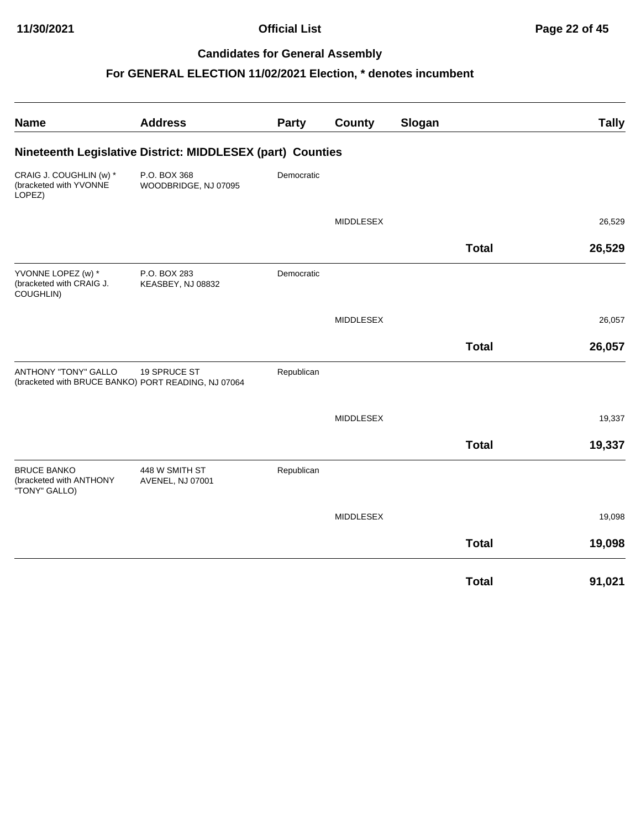| <b>Name</b>                                                    | <b>Address</b>                                                      | Party      | <b>County</b>    | Slogan |              | <b>Tally</b> |
|----------------------------------------------------------------|---------------------------------------------------------------------|------------|------------------|--------|--------------|--------------|
|                                                                | Nineteenth Legislative District: MIDDLESEX (part) Counties          |            |                  |        |              |              |
| CRAIG J. COUGHLIN (w) *<br>(bracketed with YVONNE<br>LOPEZ)    | P.O. BOX 368<br>WOODBRIDGE, NJ 07095                                | Democratic |                  |        |              |              |
|                                                                |                                                                     |            | <b>MIDDLESEX</b> |        |              | 26,529       |
|                                                                |                                                                     |            |                  |        | <b>Total</b> | 26,529       |
| YVONNE LOPEZ (w) *<br>(bracketed with CRAIG J.<br>COUGHLIN)    | P.O. BOX 283<br>KEASBEY, NJ 08832                                   | Democratic |                  |        |              |              |
|                                                                |                                                                     |            | <b>MIDDLESEX</b> |        |              | 26,057       |
|                                                                |                                                                     |            |                  |        | <b>Total</b> | 26,057       |
| <b>ANTHONY "TONY" GALLO</b>                                    | 19 SPRUCE ST<br>(bracketed with BRUCE BANKO) PORT READING, NJ 07064 | Republican |                  |        |              |              |
|                                                                |                                                                     |            | <b>MIDDLESEX</b> |        |              | 19,337       |
|                                                                |                                                                     |            |                  |        | <b>Total</b> | 19,337       |
| <b>BRUCE BANKO</b><br>(bracketed with ANTHONY<br>"TONY" GALLO) | 448 W SMITH ST<br>AVENEL, NJ 07001                                  | Republican |                  |        |              |              |
|                                                                |                                                                     |            | <b>MIDDLESEX</b> |        |              | 19,098       |
|                                                                |                                                                     |            |                  |        | <b>Total</b> | 19,098       |
|                                                                |                                                                     |            |                  |        | <b>Total</b> | 91,021       |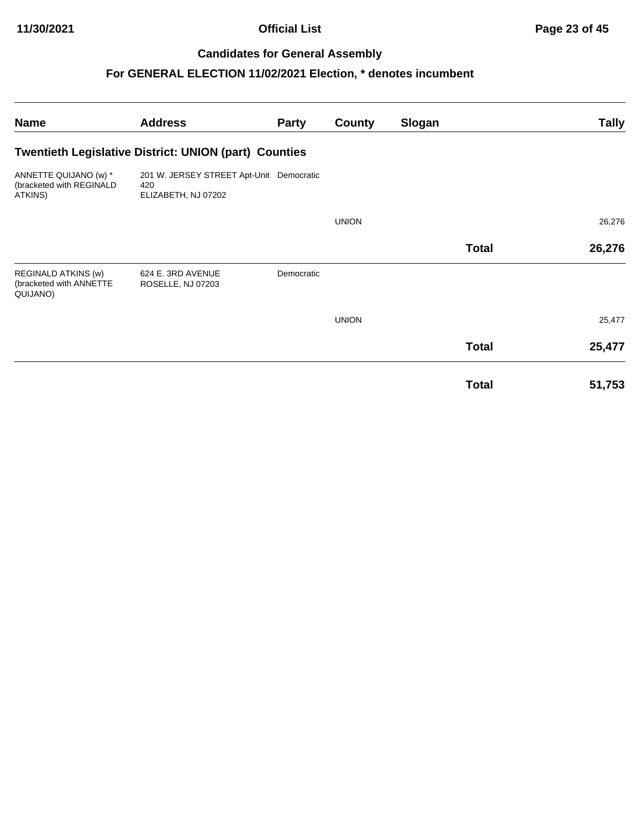| <b>Name</b>                                                       | <b>Address</b>                                                         | <b>Party</b> | County       | Slogan |              | Tally  |
|-------------------------------------------------------------------|------------------------------------------------------------------------|--------------|--------------|--------|--------------|--------|
|                                                                   | <b>Twentieth Legislative District: UNION (part) Counties</b>           |              |              |        |              |        |
| ANNETTE QUIJANO (w) *<br>(bracketed with REGINALD<br>ATKINS)      | 201 W. JERSEY STREET Apt-Unit Democratic<br>420<br>ELIZABETH, NJ 07202 |              |              |        |              |        |
|                                                                   |                                                                        |              | <b>UNION</b> |        |              | 26,276 |
|                                                                   |                                                                        |              |              |        | <b>Total</b> | 26,276 |
| <b>REGINALD ATKINS (w)</b><br>(bracketed with ANNETTE<br>QUIJANO) | 624 E. 3RD AVENUE<br>ROSELLE, NJ 07203                                 | Democratic   |              |        |              |        |
|                                                                   |                                                                        |              | <b>UNION</b> |        |              | 25,477 |
|                                                                   |                                                                        |              |              |        | <b>Total</b> | 25,477 |
|                                                                   |                                                                        |              |              |        | <b>Total</b> | 51,753 |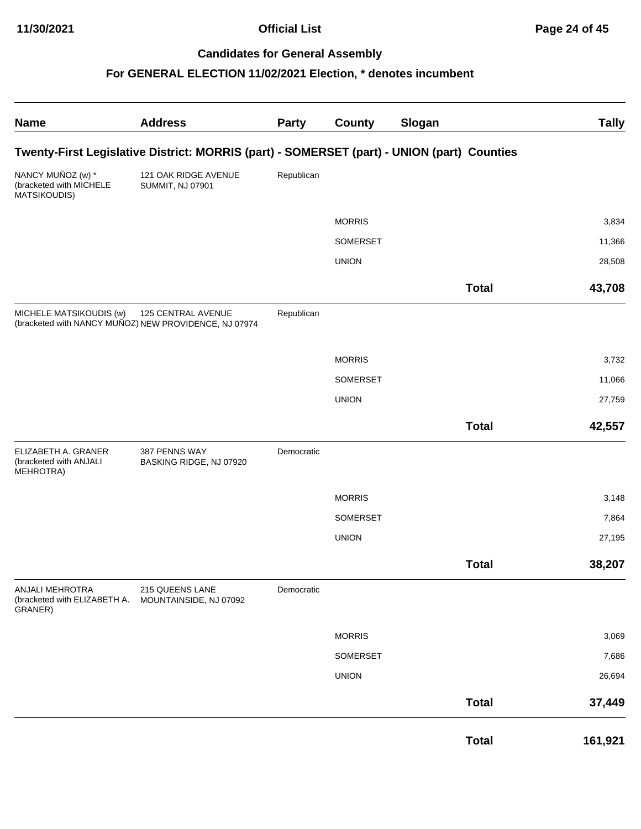| <b>Name</b>                                                  | <b>Address</b>                                                                             | <b>Party</b> | <b>County</b> | Slogan       | <b>Tally</b> |
|--------------------------------------------------------------|--------------------------------------------------------------------------------------------|--------------|---------------|--------------|--------------|
|                                                              | Twenty-First Legislative District: MORRIS (part) - SOMERSET (part) - UNION (part) Counties |              |               |              |              |
| NANCY MUÑOZ (w) *<br>(bracketed with MICHELE<br>MATSIKOUDIS) | 121 OAK RIDGE AVENUE<br><b>SUMMIT, NJ 07901</b>                                            | Republican   |               |              |              |
|                                                              |                                                                                            |              | <b>MORRIS</b> |              | 3,834        |
|                                                              |                                                                                            |              | SOMERSET      |              | 11,366       |
|                                                              |                                                                                            |              | <b>UNION</b>  |              | 28,508       |
|                                                              |                                                                                            |              |               | <b>Total</b> | 43,708       |
| MICHELE MATSIKOUDIS (w)                                      | 125 CENTRAL AVENUE<br>(bracketed with NANCY MUÑOZ) NEW PROVIDENCE, NJ 07974                | Republican   |               |              |              |
|                                                              |                                                                                            |              | <b>MORRIS</b> |              | 3,732        |
|                                                              |                                                                                            |              | SOMERSET      |              | 11,066       |
|                                                              |                                                                                            |              | <b>UNION</b>  |              | 27,759       |
|                                                              |                                                                                            |              |               | <b>Total</b> | 42,557       |
| ELIZABETH A. GRANER<br>(bracketed with ANJALI<br>MEHROTRA)   | 387 PENNS WAY<br>BASKING RIDGE, NJ 07920                                                   | Democratic   |               |              |              |
|                                                              |                                                                                            |              | <b>MORRIS</b> |              | 3,148        |
|                                                              |                                                                                            |              | SOMERSET      |              | 7,864        |
|                                                              |                                                                                            |              | <b>UNION</b>  |              | 27,195       |
|                                                              |                                                                                            |              |               | <b>Total</b> | 38,207       |
| ANJALI MEHROTRA<br>(bracketed with ELIZABETH A.<br>GRANER)   | 215 QUEENS LANE<br>MOUNTAINSIDE, NJ 07092                                                  | Democratic   |               |              |              |
|                                                              |                                                                                            |              | <b>MORRIS</b> |              | 3,069        |
|                                                              |                                                                                            |              | SOMERSET      |              | 7,686        |
|                                                              |                                                                                            |              | <b>UNION</b>  |              | 26,694       |
|                                                              |                                                                                            |              |               | <b>Total</b> | 37,449       |
|                                                              |                                                                                            |              |               | <b>Total</b> | 161,921      |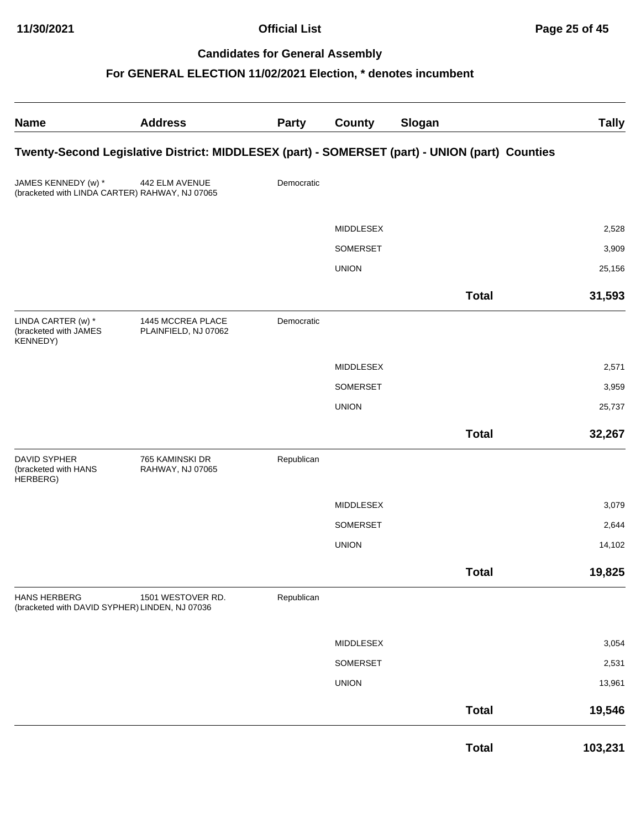| <b>Name</b>                                                           | <b>Address</b>                            | <b>Party</b> | <b>County</b>    | Slogan                                                                                         | <b>Tally</b> |
|-----------------------------------------------------------------------|-------------------------------------------|--------------|------------------|------------------------------------------------------------------------------------------------|--------------|
|                                                                       |                                           |              |                  | Twenty-Second Legislative District: MIDDLESEX (part) - SOMERSET (part) - UNION (part) Counties |              |
| JAMES KENNEDY (w) *<br>(bracketed with LINDA CARTER) RAHWAY, NJ 07065 | 442 ELM AVENUE                            | Democratic   |                  |                                                                                                |              |
|                                                                       |                                           |              | <b>MIDDLESEX</b> |                                                                                                | 2,528        |
|                                                                       |                                           |              | SOMERSET         |                                                                                                | 3,909        |
|                                                                       |                                           |              | <b>UNION</b>     |                                                                                                | 25,156       |
|                                                                       |                                           |              |                  | <b>Total</b>                                                                                   | 31,593       |
| LINDA CARTER (w) *<br>(bracketed with JAMES<br><b>KENNEDY)</b>        | 1445 MCCREA PLACE<br>PLAINFIELD, NJ 07062 | Democratic   |                  |                                                                                                |              |
|                                                                       |                                           |              | <b>MIDDLESEX</b> |                                                                                                | 2,571        |
|                                                                       |                                           |              | SOMERSET         |                                                                                                | 3,959        |
|                                                                       |                                           |              | <b>UNION</b>     |                                                                                                | 25,737       |
|                                                                       |                                           |              |                  | <b>Total</b>                                                                                   | 32,267       |
| <b>DAVID SYPHER</b><br>(bracketed with HANS<br>HERBERG)               | 765 KAMINSKI DR<br>RAHWAY, NJ 07065       | Republican   |                  |                                                                                                |              |
|                                                                       |                                           |              | <b>MIDDLESEX</b> |                                                                                                | 3,079        |
|                                                                       |                                           |              | SOMERSET         |                                                                                                | 2,644        |
|                                                                       |                                           |              | <b>UNION</b>     |                                                                                                | 14,102       |
|                                                                       |                                           |              |                  | <b>Total</b>                                                                                   | 19,825       |
| <b>HANS HERBERG</b><br>(bracketed with DAVID SYPHER) LINDEN, NJ 07036 | 1501 WESTOVER RD.                         | Republican   |                  |                                                                                                |              |
|                                                                       |                                           |              | MIDDLESEX        |                                                                                                | 3,054        |
|                                                                       |                                           |              | SOMERSET         |                                                                                                | 2,531        |
|                                                                       |                                           |              | <b>UNION</b>     |                                                                                                | 13,961       |
|                                                                       |                                           |              |                  | <b>Total</b>                                                                                   | 19,546       |
|                                                                       |                                           |              |                  | <b>Total</b>                                                                                   | 103,231      |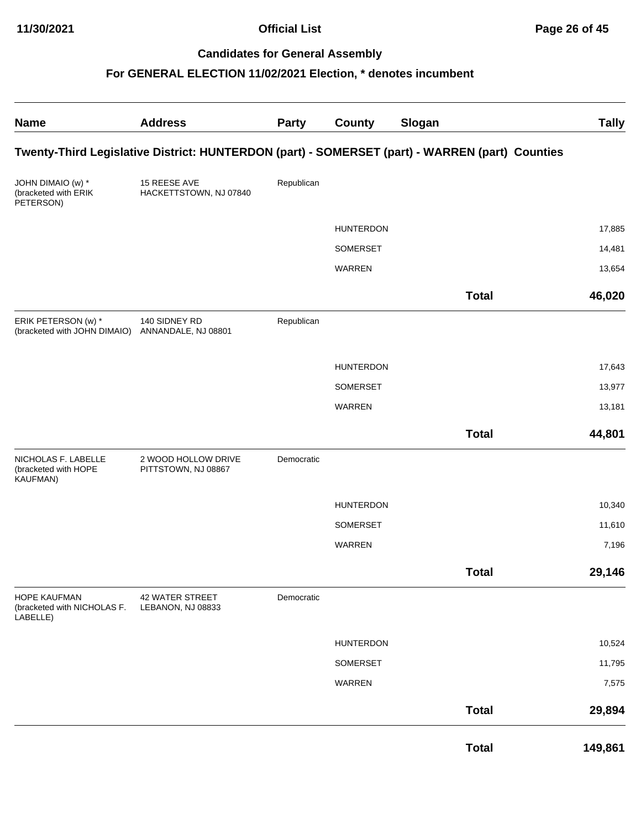| <b>Name</b>                                             | <b>Address</b>                             | <b>Party</b> | <b>County</b>    | Slogan                                                                                         | <b>Tally</b> |
|---------------------------------------------------------|--------------------------------------------|--------------|------------------|------------------------------------------------------------------------------------------------|--------------|
|                                                         |                                            |              |                  | Twenty-Third Legislative District: HUNTERDON (part) - SOMERSET (part) - WARREN (part) Counties |              |
| JOHN DIMAIO (w) *<br>(bracketed with ERIK<br>PETERSON)  | 15 REESE AVE<br>HACKETTSTOWN, NJ 07840     | Republican   |                  |                                                                                                |              |
|                                                         |                                            |              | <b>HUNTERDON</b> |                                                                                                | 17,885       |
|                                                         |                                            |              | SOMERSET         |                                                                                                | 14,481       |
|                                                         |                                            |              | WARREN           |                                                                                                | 13,654       |
|                                                         |                                            |              |                  | <b>Total</b>                                                                                   | 46,020       |
| ERIK PETERSON (w) *<br>(bracketed with JOHN DIMAIO)     | 140 SIDNEY RD<br>ANNANDALE, NJ 08801       | Republican   |                  |                                                                                                |              |
|                                                         |                                            |              | <b>HUNTERDON</b> |                                                                                                | 17,643       |
|                                                         |                                            |              | SOMERSET         |                                                                                                | 13,977       |
|                                                         |                                            |              | WARREN           |                                                                                                | 13,181       |
|                                                         |                                            |              |                  | <b>Total</b>                                                                                   | 44,801       |
| NICHOLAS F. LABELLE<br>(bracketed with HOPE<br>KAUFMAN) | 2 WOOD HOLLOW DRIVE<br>PITTSTOWN, NJ 08867 | Democratic   |                  |                                                                                                |              |
|                                                         |                                            |              | <b>HUNTERDON</b> |                                                                                                | 10,340       |
|                                                         |                                            |              | SOMERSET         |                                                                                                | 11,610       |
|                                                         |                                            |              | WARREN           |                                                                                                | 7,196        |
|                                                         |                                            |              |                  | <b>Total</b>                                                                                   | 29,146       |
| HOPE KAUFMAN<br>(bracketed with NICHOLAS F.<br>LABELLE) | 42 WATER STREET<br>LEBANON, NJ 08833       | Democratic   |                  |                                                                                                |              |
|                                                         |                                            |              | <b>HUNTERDON</b> |                                                                                                | 10,524       |
|                                                         |                                            |              | SOMERSET         |                                                                                                | 11,795       |
|                                                         |                                            |              | WARREN           |                                                                                                | 7,575        |
|                                                         |                                            |              |                  | <b>Total</b>                                                                                   | 29,894       |
|                                                         |                                            |              |                  | <b>Total</b>                                                                                   | 149,861      |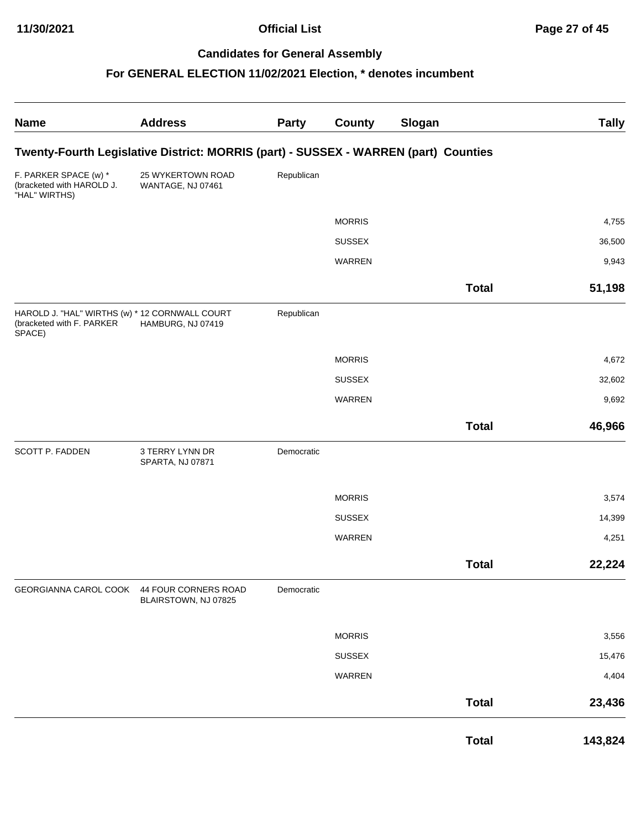| <b>Name</b>                                                                           | <b>Address</b>                                                                      | <b>Party</b> | <b>County</b> | Slogan       | <b>Tally</b> |
|---------------------------------------------------------------------------------------|-------------------------------------------------------------------------------------|--------------|---------------|--------------|--------------|
|                                                                                       | Twenty-Fourth Legislative District: MORRIS (part) - SUSSEX - WARREN (part) Counties |              |               |              |              |
| F. PARKER SPACE (w) *<br>(bracketed with HAROLD J.<br>"HAL" WIRTHS)                   | 25 WYKERTOWN ROAD<br>WANTAGE, NJ 07461                                              | Republican   |               |              |              |
|                                                                                       |                                                                                     |              | <b>MORRIS</b> |              | 4,755        |
|                                                                                       |                                                                                     |              | <b>SUSSEX</b> |              | 36,500       |
|                                                                                       |                                                                                     |              | WARREN        |              | 9,943        |
|                                                                                       |                                                                                     |              |               | <b>Total</b> | 51,198       |
| HAROLD J. "HAL" WIRTHS (w) * 12 CORNWALL COURT<br>(bracketed with F. PARKER<br>SPACE) | HAMBURG, NJ 07419                                                                   | Republican   |               |              |              |
|                                                                                       |                                                                                     |              | <b>MORRIS</b> |              | 4,672        |
|                                                                                       |                                                                                     |              | <b>SUSSEX</b> |              | 32,602       |
|                                                                                       |                                                                                     |              | WARREN        |              | 9,692        |
|                                                                                       |                                                                                     |              |               | <b>Total</b> | 46,966       |
| SCOTT P. FADDEN                                                                       | 3 TERRY LYNN DR<br>SPARTA, NJ 07871                                                 | Democratic   |               |              |              |
|                                                                                       |                                                                                     |              | <b>MORRIS</b> |              | 3,574        |
|                                                                                       |                                                                                     |              | <b>SUSSEX</b> |              | 14,399       |
|                                                                                       |                                                                                     |              | WARREN        |              | 4,251        |
|                                                                                       |                                                                                     |              |               | <b>Total</b> | 22,224       |
| GEORGIANNA CAROL COOK                                                                 | 44 FOUR CORNERS ROAD<br>BLAIRSTOWN, NJ 07825                                        | Democratic   |               |              |              |
|                                                                                       |                                                                                     |              | <b>MORRIS</b> |              | 3,556        |
|                                                                                       |                                                                                     |              | <b>SUSSEX</b> |              | 15,476       |
|                                                                                       |                                                                                     |              | WARREN        |              | 4,404        |
|                                                                                       |                                                                                     |              |               | <b>Total</b> | 23,436       |
|                                                                                       |                                                                                     |              |               | <b>Total</b> | 143,824      |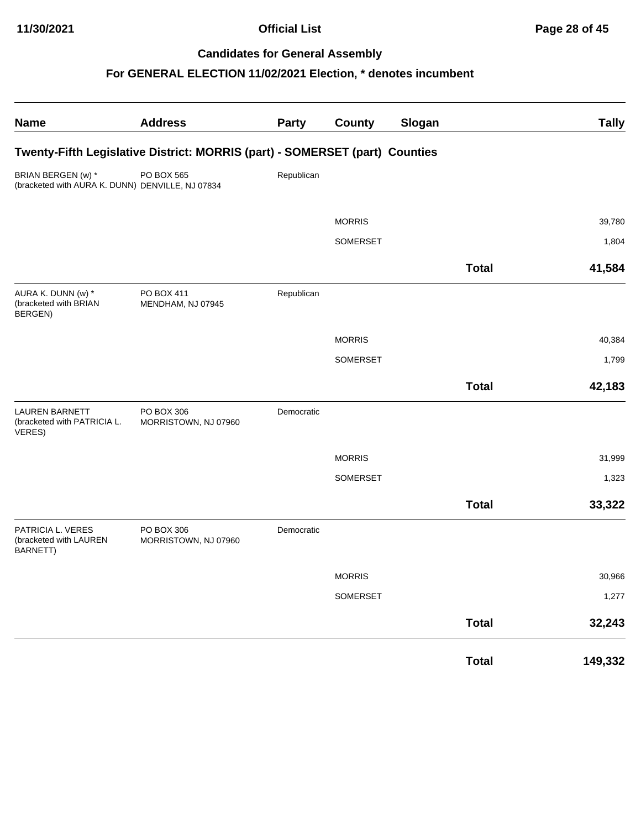| <b>Name</b>                                                            | <b>Address</b>                                                              | Party      | <b>County</b> | Slogan |              | <b>Tally</b> |
|------------------------------------------------------------------------|-----------------------------------------------------------------------------|------------|---------------|--------|--------------|--------------|
|                                                                        | Twenty-Fifth Legislative District: MORRIS (part) - SOMERSET (part) Counties |            |               |        |              |              |
| BRIAN BERGEN (w) *<br>(bracketed with AURA K. DUNN) DENVILLE, NJ 07834 | PO BOX 565                                                                  | Republican |               |        |              |              |
|                                                                        |                                                                             |            | <b>MORRIS</b> |        |              | 39,780       |
|                                                                        |                                                                             |            | SOMERSET      |        |              | 1,804        |
|                                                                        |                                                                             |            |               |        | <b>Total</b> | 41,584       |
| AURA K. DUNN (w) *<br>(bracketed with BRIAN<br>BERGEN)                 | PO BOX 411<br>MENDHAM, NJ 07945                                             | Republican |               |        |              |              |
|                                                                        |                                                                             |            | <b>MORRIS</b> |        |              | 40,384       |
|                                                                        |                                                                             |            | SOMERSET      |        |              | 1,799        |
|                                                                        |                                                                             |            |               |        | <b>Total</b> | 42,183       |
| <b>LAUREN BARNETT</b><br>(bracketed with PATRICIA L.<br>VERES)         | PO BOX 306<br>MORRISTOWN, NJ 07960                                          | Democratic |               |        |              |              |
|                                                                        |                                                                             |            | <b>MORRIS</b> |        |              | 31,999       |
|                                                                        |                                                                             |            | SOMERSET      |        |              | 1,323        |
|                                                                        |                                                                             |            |               |        | <b>Total</b> | 33,322       |
| PATRICIA L. VERES<br>(bracketed with LAUREN<br>BARNETT)                | PO BOX 306<br>MORRISTOWN, NJ 07960                                          | Democratic |               |        |              |              |
|                                                                        |                                                                             |            | <b>MORRIS</b> |        |              | 30,966       |
|                                                                        |                                                                             |            | SOMERSET      |        |              | 1,277        |
|                                                                        |                                                                             |            |               |        | <b>Total</b> | 32,243       |
|                                                                        |                                                                             |            |               |        | <b>Total</b> | 149,332      |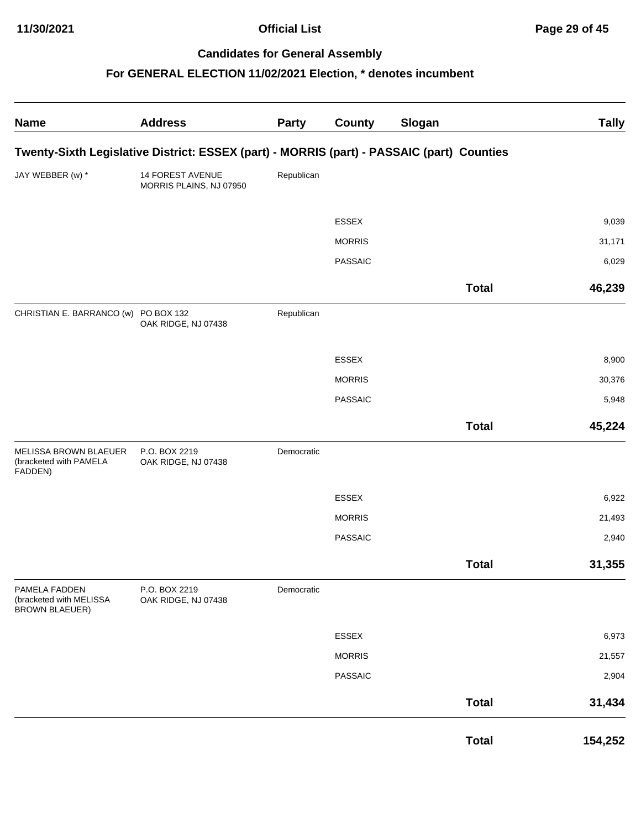| <b>Name</b>                                                       | <b>Address</b>                                                                            | <b>Party</b> | <b>County</b>  | Slogan       | <b>Tally</b> |
|-------------------------------------------------------------------|-------------------------------------------------------------------------------------------|--------------|----------------|--------------|--------------|
|                                                                   | Twenty-Sixth Legislative District: ESSEX (part) - MORRIS (part) - PASSAIC (part) Counties |              |                |              |              |
| JAY WEBBER (w) *                                                  | 14 FOREST AVENUE<br>MORRIS PLAINS, NJ 07950                                               | Republican   |                |              |              |
|                                                                   |                                                                                           |              | <b>ESSEX</b>   |              | 9,039        |
|                                                                   |                                                                                           |              | <b>MORRIS</b>  |              | 31,171       |
|                                                                   |                                                                                           |              | <b>PASSAIC</b> |              | 6,029        |
|                                                                   |                                                                                           |              |                | <b>Total</b> | 46,239       |
| CHRISTIAN E. BARRANCO (w) PO BOX 132                              | OAK RIDGE, NJ 07438                                                                       | Republican   |                |              |              |
|                                                                   |                                                                                           |              | ESSEX          |              | 8,900        |
|                                                                   |                                                                                           |              | <b>MORRIS</b>  |              | 30,376       |
|                                                                   |                                                                                           |              | <b>PASSAIC</b> |              | 5,948        |
|                                                                   |                                                                                           |              |                | <b>Total</b> | 45,224       |
| MELISSA BROWN BLAEUER<br>(bracketed with PAMELA<br>FADDEN)        | P.O. BOX 2219<br>OAK RIDGE, NJ 07438                                                      | Democratic   |                |              |              |
|                                                                   |                                                                                           |              | ESSEX          |              | 6,922        |
|                                                                   |                                                                                           |              | <b>MORRIS</b>  |              | 21,493       |
|                                                                   |                                                                                           |              | <b>PASSAIC</b> |              | 2,940        |
|                                                                   |                                                                                           |              |                | <b>Total</b> | 31,355       |
| PAMELA FADDEN<br>(bracketed with MELISSA<br><b>BROWN BLAEUER)</b> | P.O. BOX 2219<br>OAK RIDGE, NJ 07438                                                      | Democratic   |                |              |              |
|                                                                   |                                                                                           |              | ESSEX          |              | 6,973        |
|                                                                   |                                                                                           |              | <b>MORRIS</b>  |              | 21,557       |
|                                                                   |                                                                                           |              | <b>PASSAIC</b> |              | 2,904        |
|                                                                   |                                                                                           |              |                | <b>Total</b> | 31,434       |
|                                                                   |                                                                                           |              |                | <b>Total</b> | 154,252      |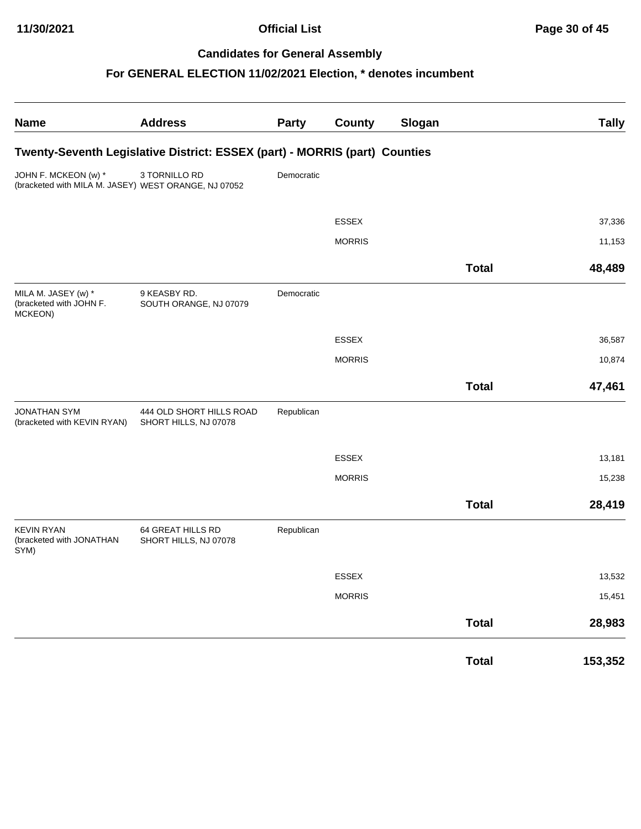| <b>Name</b>                                                                  | <b>Address</b>                                                             | Party      | <b>County</b> | Slogan |              | <b>Tally</b> |
|------------------------------------------------------------------------------|----------------------------------------------------------------------------|------------|---------------|--------|--------------|--------------|
|                                                                              | Twenty-Seventh Legislative District: ESSEX (part) - MORRIS (part) Counties |            |               |        |              |              |
| JOHN F. MCKEON (w) *<br>(bracketed with MILA M. JASEY) WEST ORANGE, NJ 07052 | 3 TORNILLO RD                                                              | Democratic |               |        |              |              |
|                                                                              |                                                                            |            | ESSEX         |        |              | 37,336       |
|                                                                              |                                                                            |            | <b>MORRIS</b> |        |              | 11,153       |
|                                                                              |                                                                            |            |               |        | <b>Total</b> | 48,489       |
| MILA M. JASEY (w) *<br>(bracketed with JOHN F.<br>MCKEON)                    | 9 KEASBY RD.<br>SOUTH ORANGE, NJ 07079                                     | Democratic |               |        |              |              |
|                                                                              |                                                                            |            | ESSEX         |        |              | 36,587       |
|                                                                              |                                                                            |            | <b>MORRIS</b> |        |              | 10,874       |
|                                                                              |                                                                            |            |               |        | <b>Total</b> | 47,461       |
| <b>JONATHAN SYM</b><br>(bracketed with KEVIN RYAN)                           | 444 OLD SHORT HILLS ROAD<br>SHORT HILLS, NJ 07078                          | Republican |               |        |              |              |
|                                                                              |                                                                            |            | ESSEX         |        |              | 13,181       |
|                                                                              |                                                                            |            | <b>MORRIS</b> |        |              | 15,238       |
|                                                                              |                                                                            |            |               |        | <b>Total</b> | 28,419       |
| <b>KEVIN RYAN</b><br>(bracketed with JONATHAN<br>SYM)                        | 64 GREAT HILLS RD<br>SHORT HILLS, NJ 07078                                 | Republican |               |        |              |              |
|                                                                              |                                                                            |            | ESSEX         |        |              | 13,532       |
|                                                                              |                                                                            |            | <b>MORRIS</b> |        |              | 15,451       |
|                                                                              |                                                                            |            |               |        | <b>Total</b> | 28,983       |
|                                                                              |                                                                            |            |               |        | <b>Total</b> | 153,352      |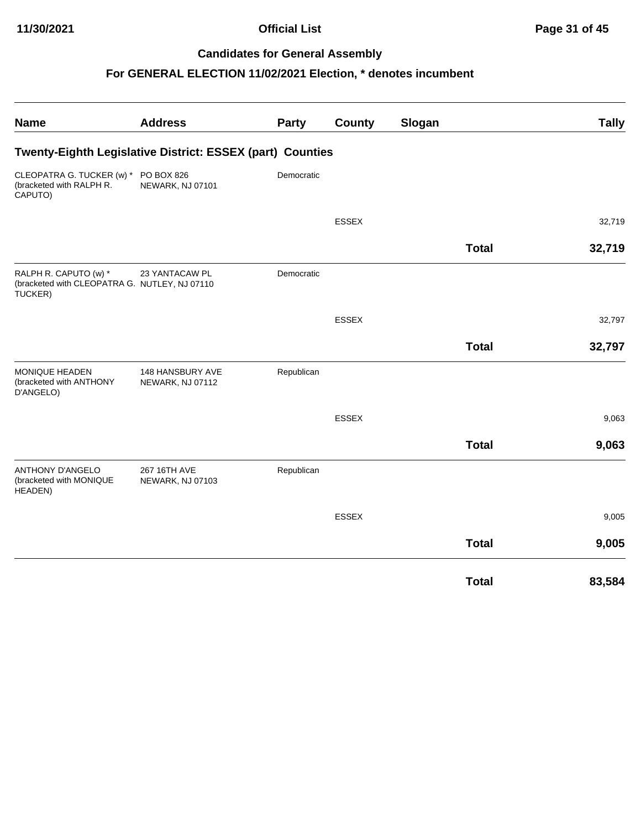| <b>Name</b>                                                                       | <b>Address</b>                       | Party      | County       | Slogan |              | <b>Tally</b> |
|-----------------------------------------------------------------------------------|--------------------------------------|------------|--------------|--------|--------------|--------------|
| Twenty-Eighth Legislative District: ESSEX (part) Counties                         |                                      |            |              |        |              |              |
| CLEOPATRA G. TUCKER (w) *<br>(bracketed with RALPH R.<br>CAPUTO)                  | PO BOX 826<br>NEWARK, NJ 07101       | Democratic |              |        |              |              |
|                                                                                   |                                      |            | <b>ESSEX</b> |        |              | 32,719       |
|                                                                                   |                                      |            |              |        | <b>Total</b> | 32,719       |
| RALPH R. CAPUTO (w) *<br>(bracketed with CLEOPATRA G. NUTLEY, NJ 07110<br>TUCKER) | 23 YANTACAW PL                       | Democratic |              |        |              |              |
|                                                                                   |                                      |            | <b>ESSEX</b> |        |              | 32,797       |
|                                                                                   |                                      |            |              |        | <b>Total</b> | 32,797       |
| MONIQUE HEADEN<br>(bracketed with ANTHONY<br>D'ANGELO)                            | 148 HANSBURY AVE<br>NEWARK, NJ 07112 | Republican |              |        |              |              |
|                                                                                   |                                      |            | <b>ESSEX</b> |        |              | 9,063        |
|                                                                                   |                                      |            |              |        | <b>Total</b> | 9,063        |
| ANTHONY D'ANGELO<br>(bracketed with MONIQUE<br>HEADEN)                            | 267 16TH AVE<br>NEWARK, NJ 07103     | Republican |              |        |              |              |
|                                                                                   |                                      |            | <b>ESSEX</b> |        |              | 9,005        |
|                                                                                   |                                      |            |              |        | <b>Total</b> | 9,005        |
|                                                                                   |                                      |            |              |        | <b>Total</b> | 83,584       |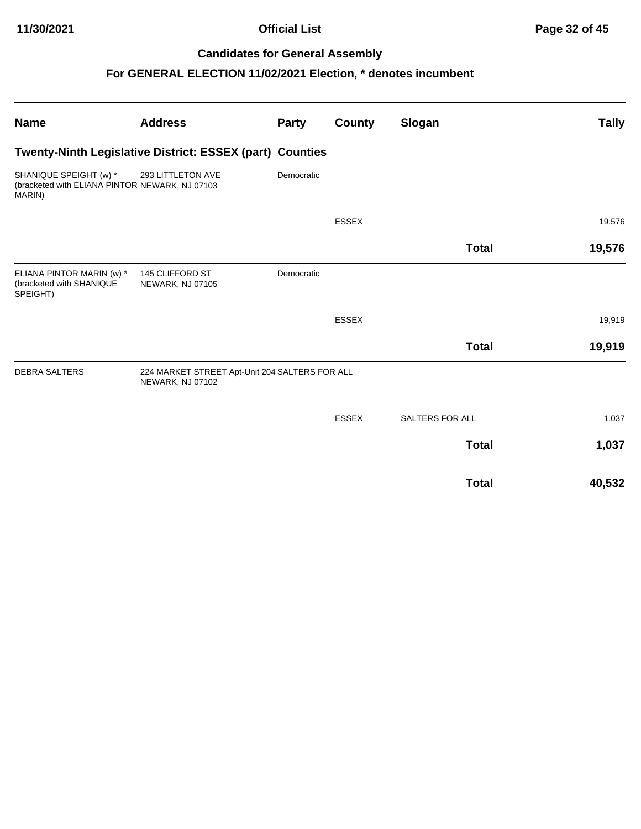| <b>Name</b>                                                                        | <b>Address</b>                                                     | <b>Party</b> | <b>County</b> | Slogan                 | <b>Tally</b> |
|------------------------------------------------------------------------------------|--------------------------------------------------------------------|--------------|---------------|------------------------|--------------|
|                                                                                    | Twenty-Ninth Legislative District: ESSEX (part) Counties           |              |               |                        |              |
| SHANIQUE SPEIGHT (w) *<br>(bracketed with ELIANA PINTOR NEWARK, NJ 07103<br>MARIN) | 293 LITTLETON AVE                                                  | Democratic   |               |                        |              |
|                                                                                    |                                                                    |              | <b>ESSEX</b>  |                        | 19,576       |
|                                                                                    |                                                                    |              |               | <b>Total</b>           | 19,576       |
| ELIANA PINTOR MARIN (w) *<br>(bracketed with SHANIQUE<br>SPEIGHT)                  | 145 CLIFFORD ST<br>NEWARK, NJ 07105                                | Democratic   |               |                        |              |
|                                                                                    |                                                                    |              | <b>ESSEX</b>  |                        | 19,919       |
|                                                                                    |                                                                    |              |               | <b>Total</b>           | 19,919       |
| <b>DEBRA SALTERS</b>                                                               | 224 MARKET STREET Apt-Unit 204 SALTERS FOR ALL<br>NEWARK, NJ 07102 |              |               |                        |              |
|                                                                                    |                                                                    |              | <b>ESSEX</b>  | <b>SALTERS FOR ALL</b> | 1,037        |
|                                                                                    |                                                                    |              |               | <b>Total</b>           | 1,037        |
|                                                                                    |                                                                    |              |               | <b>Total</b>           | 40,532       |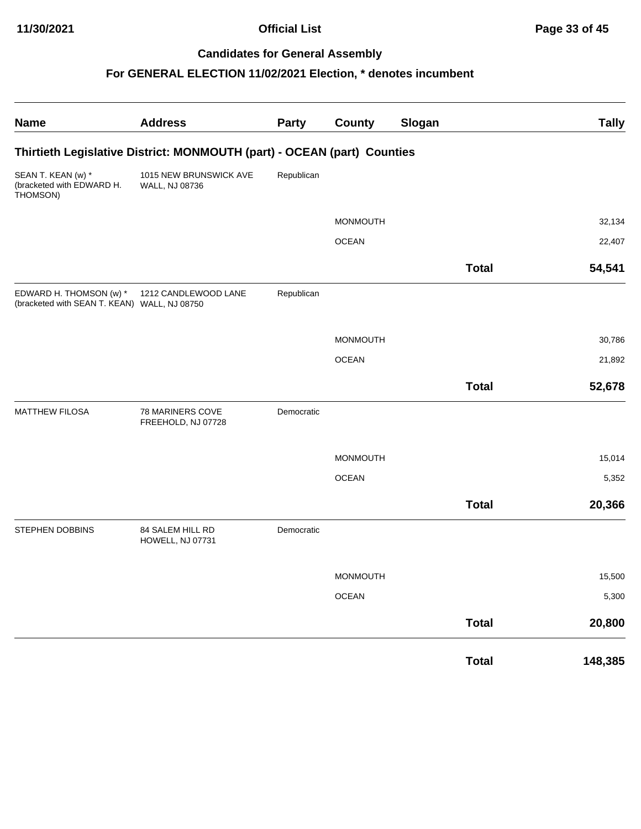| <b>Name</b>                                                             | <b>Address</b>                                                          | <b>Party</b> | <b>County</b>   | Slogan |              | <b>Tally</b> |
|-------------------------------------------------------------------------|-------------------------------------------------------------------------|--------------|-----------------|--------|--------------|--------------|
|                                                                         | Thirtieth Legislative District: MONMOUTH (part) - OCEAN (part) Counties |              |                 |        |              |              |
| SEAN T. KEAN (w) *<br>(bracketed with EDWARD H.<br>THOMSON)             | 1015 NEW BRUNSWICK AVE<br>WALL, NJ 08736                                | Republican   |                 |        |              |              |
|                                                                         |                                                                         |              | <b>MONMOUTH</b> |        |              | 32,134       |
|                                                                         |                                                                         |              | <b>OCEAN</b>    |        |              | 22,407       |
|                                                                         |                                                                         |              |                 |        | <b>Total</b> | 54,541       |
| EDWARD H. THOMSON (w) *<br>(bracketed with SEAN T. KEAN) WALL, NJ 08750 | 1212 CANDLEWOOD LANE                                                    | Republican   |                 |        |              |              |
|                                                                         |                                                                         |              | <b>MONMOUTH</b> |        |              | 30,786       |
|                                                                         |                                                                         |              | <b>OCEAN</b>    |        |              | 21,892       |
|                                                                         |                                                                         |              |                 |        | <b>Total</b> | 52,678       |
| <b>MATTHEW FILOSA</b>                                                   | 78 MARINERS COVE<br>FREEHOLD, NJ 07728                                  | Democratic   |                 |        |              |              |
|                                                                         |                                                                         |              | <b>MONMOUTH</b> |        |              | 15,014       |
|                                                                         |                                                                         |              | <b>OCEAN</b>    |        |              | 5,352        |
|                                                                         |                                                                         |              |                 |        | <b>Total</b> | 20,366       |
| STEPHEN DOBBINS                                                         | 84 SALEM HILL RD<br>HOWELL, NJ 07731                                    | Democratic   |                 |        |              |              |
|                                                                         |                                                                         |              | MONMOUTH        |        |              | 15,500       |
|                                                                         |                                                                         |              | <b>OCEAN</b>    |        |              | 5,300        |
|                                                                         |                                                                         |              |                 |        | <b>Total</b> | 20,800       |
|                                                                         |                                                                         |              |                 |        | <b>Total</b> | 148,385      |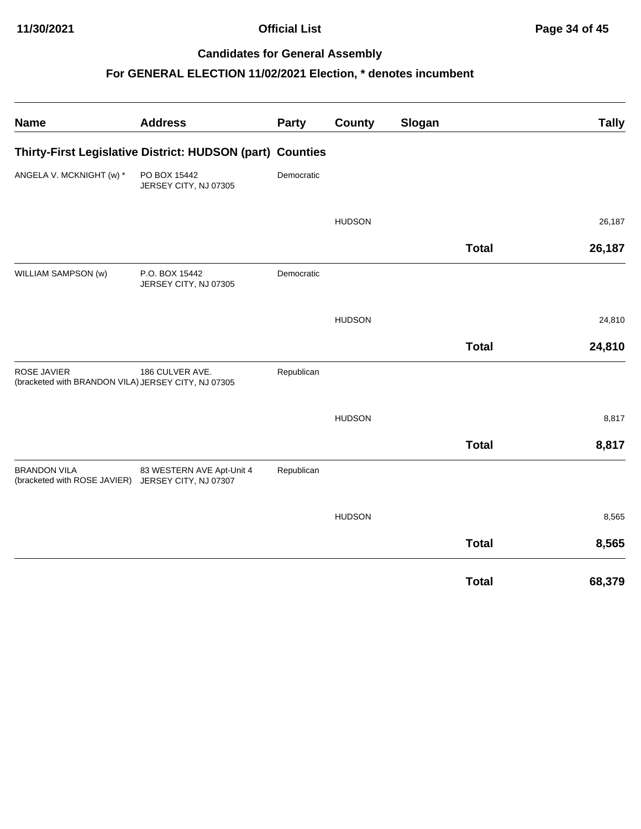| <b>Name</b>                                                               | <b>Address</b>                                            | Party      | County        | Slogan |              | <b>Tally</b> |
|---------------------------------------------------------------------------|-----------------------------------------------------------|------------|---------------|--------|--------------|--------------|
|                                                                           | Thirty-First Legislative District: HUDSON (part) Counties |            |               |        |              |              |
| ANGELA V. MCKNIGHT (w) *                                                  | PO BOX 15442<br>JERSEY CITY, NJ 07305                     | Democratic |               |        |              |              |
|                                                                           |                                                           |            | <b>HUDSON</b> |        |              | 26,187       |
|                                                                           |                                                           |            |               |        | <b>Total</b> | 26,187       |
| WILLIAM SAMPSON (w)                                                       | P.O. BOX 15442<br>JERSEY CITY, NJ 07305                   | Democratic |               |        |              |              |
|                                                                           |                                                           |            | <b>HUDSON</b> |        |              | 24,810       |
|                                                                           |                                                           |            |               |        | <b>Total</b> | 24,810       |
| ROSE JAVIER<br>(bracketed with BRANDON VILA) JERSEY CITY, NJ 07305        | 186 CULVER AVE.                                           | Republican |               |        |              |              |
|                                                                           |                                                           |            | <b>HUDSON</b> |        |              | 8,817        |
|                                                                           |                                                           |            |               |        | <b>Total</b> | 8,817        |
| <b>BRANDON VILA</b><br>(bracketed with ROSE JAVIER) JERSEY CITY, NJ 07307 | 83 WESTERN AVE Apt-Unit 4                                 | Republican |               |        |              |              |
|                                                                           |                                                           |            | <b>HUDSON</b> |        |              | 8,565        |
|                                                                           |                                                           |            |               |        | <b>Total</b> | 8,565        |
|                                                                           |                                                           |            |               |        | <b>Total</b> | 68,379       |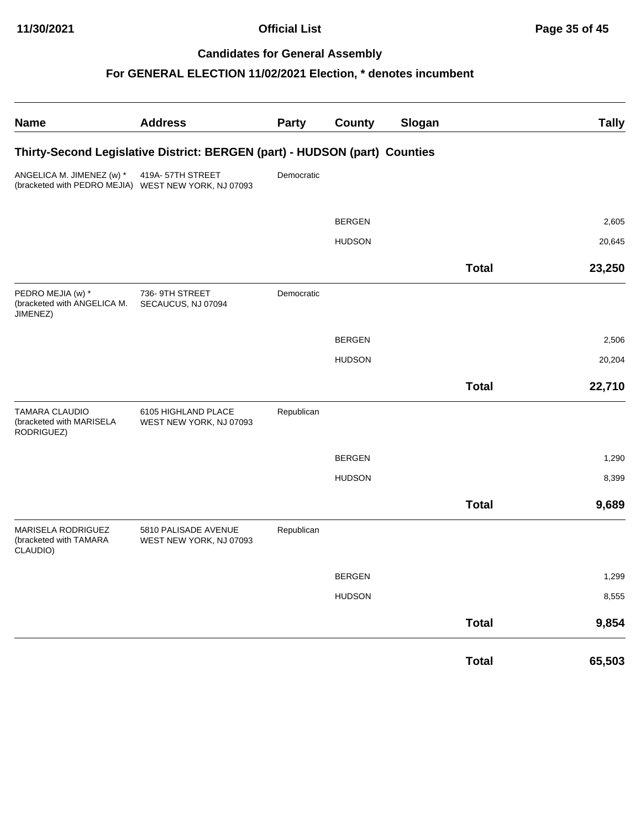| <b>Name</b>                                                                       | <b>Address</b>                                                             | Party      | County        | Slogan |              | <b>Tally</b> |
|-----------------------------------------------------------------------------------|----------------------------------------------------------------------------|------------|---------------|--------|--------------|--------------|
|                                                                                   | Thirty-Second Legislative District: BERGEN (part) - HUDSON (part) Counties |            |               |        |              |              |
| ANGELICA M. JIMENEZ (w) *<br>(bracketed with PEDRO MEJIA) WEST NEW YORK, NJ 07093 | 419A-57TH STREET                                                           | Democratic |               |        |              |              |
|                                                                                   |                                                                            |            | <b>BERGEN</b> |        |              | 2,605        |
|                                                                                   |                                                                            |            | <b>HUDSON</b> |        |              | 20,645       |
|                                                                                   |                                                                            |            |               |        | <b>Total</b> | 23,250       |
| PEDRO MEJIA (w) *<br>(bracketed with ANGELICA M.<br>JIMENEZ)                      | 736-9TH STREET<br>SECAUCUS, NJ 07094                                       | Democratic |               |        |              |              |
|                                                                                   |                                                                            |            | <b>BERGEN</b> |        |              | 2,506        |
|                                                                                   |                                                                            |            | <b>HUDSON</b> |        |              | 20,204       |
|                                                                                   |                                                                            |            |               |        | <b>Total</b> | 22,710       |
| <b>TAMARA CLAUDIO</b><br>(bracketed with MARISELA<br>RODRIGUEZ)                   | 6105 HIGHLAND PLACE<br>WEST NEW YORK, NJ 07093                             | Republican |               |        |              |              |
|                                                                                   |                                                                            |            | <b>BERGEN</b> |        |              | 1,290        |
|                                                                                   |                                                                            |            | <b>HUDSON</b> |        |              | 8,399        |
|                                                                                   |                                                                            |            |               |        | <b>Total</b> | 9,689        |
| MARISELA RODRIGUEZ<br>(bracketed with TAMARA<br>CLAUDIO)                          | 5810 PALISADE AVENUE<br>WEST NEW YORK, NJ 07093                            | Republican |               |        |              |              |
|                                                                                   |                                                                            |            | <b>BERGEN</b> |        |              | 1,299        |
|                                                                                   |                                                                            |            | <b>HUDSON</b> |        |              | 8,555        |
|                                                                                   |                                                                            |            |               |        | <b>Total</b> | 9,854        |
|                                                                                   |                                                                            |            |               |        | <b>Total</b> | 65,503       |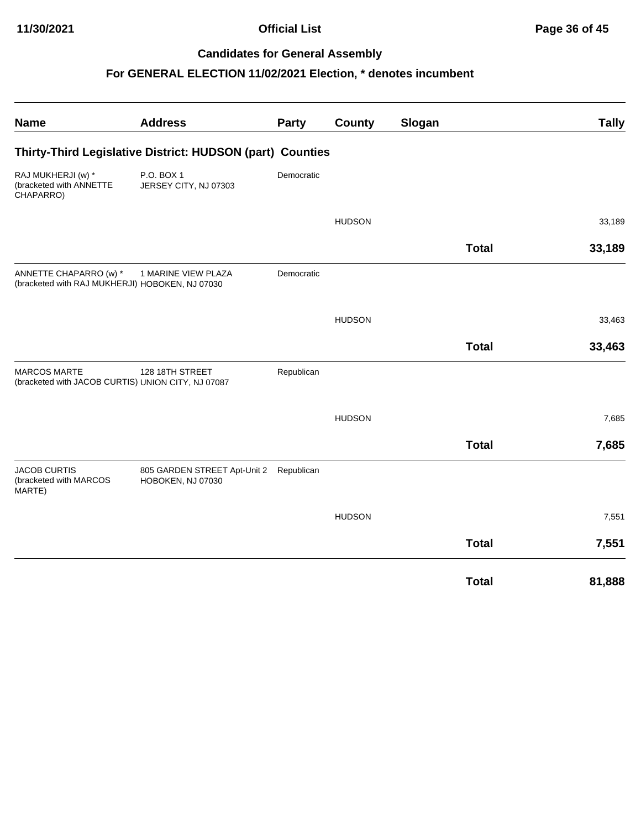| <b>Name</b>                                                               | <b>Address</b>                                               | Party      | County        | Slogan |              | <b>Tally</b> |
|---------------------------------------------------------------------------|--------------------------------------------------------------|------------|---------------|--------|--------------|--------------|
|                                                                           | Thirty-Third Legislative District: HUDSON (part) Counties    |            |               |        |              |              |
| RAJ MUKHERJI (w) *<br>(bracketed with ANNETTE<br>CHAPARRO)                | P.O. BOX 1<br>JERSEY CITY, NJ 07303                          | Democratic |               |        |              |              |
|                                                                           |                                                              |            | <b>HUDSON</b> |        |              | 33,189       |
|                                                                           |                                                              |            |               |        | <b>Total</b> | 33,189       |
| ANNETTE CHAPARRO (w) *<br>(bracketed with RAJ MUKHERJI) HOBOKEN, NJ 07030 | 1 MARINE VIEW PLAZA                                          | Democratic |               |        |              |              |
|                                                                           |                                                              |            | <b>HUDSON</b> |        |              | 33,463       |
|                                                                           |                                                              |            |               |        | <b>Total</b> | 33,463       |
| <b>MARCOS MARTE</b><br>(bracketed with JACOB CURTIS) UNION CITY, NJ 07087 | 128 18TH STREET                                              | Republican |               |        |              |              |
|                                                                           |                                                              |            | <b>HUDSON</b> |        |              | 7,685        |
|                                                                           |                                                              |            |               |        | <b>Total</b> | 7,685        |
| <b>JACOB CURTIS</b><br>(bracketed with MARCOS<br>MARTE)                   | 805 GARDEN STREET Apt-Unit 2 Republican<br>HOBOKEN, NJ 07030 |            |               |        |              |              |
|                                                                           |                                                              |            | <b>HUDSON</b> |        |              | 7,551        |
|                                                                           |                                                              |            |               |        | <b>Total</b> | 7,551        |
|                                                                           |                                                              |            |               |        | <b>Total</b> | 81,888       |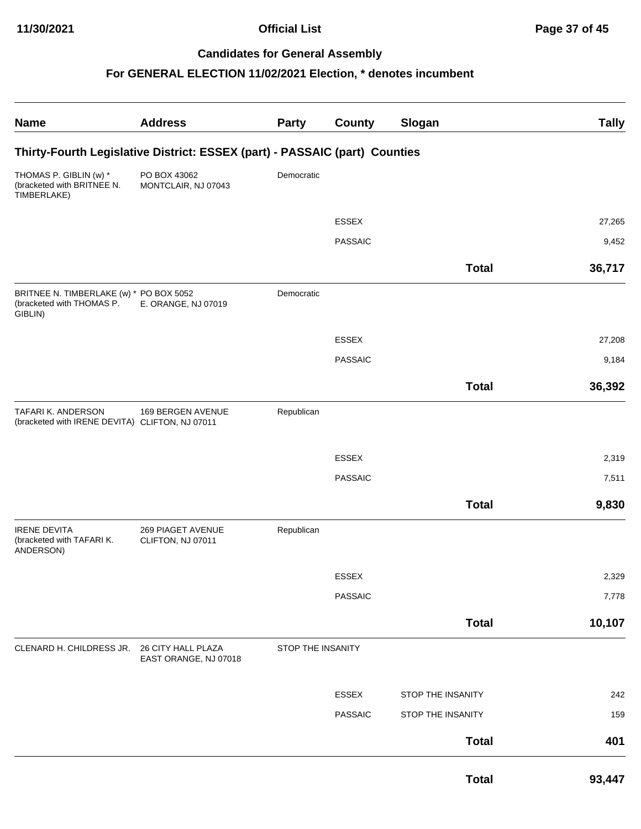| <b>Name</b>                                                                     | <b>Address</b>                                                             | <b>Party</b>      | County         | Slogan            | <b>Tally</b> |
|---------------------------------------------------------------------------------|----------------------------------------------------------------------------|-------------------|----------------|-------------------|--------------|
|                                                                                 | Thirty-Fourth Legislative District: ESSEX (part) - PASSAIC (part) Counties |                   |                |                   |              |
| THOMAS P. GIBLIN (w) *<br>(bracketed with BRITNEE N.<br>TIMBERLAKE)             | PO BOX 43062<br>MONTCLAIR, NJ 07043                                        | Democratic        |                |                   |              |
|                                                                                 |                                                                            |                   | <b>ESSEX</b>   |                   | 27,265       |
|                                                                                 |                                                                            |                   | <b>PASSAIC</b> |                   | 9,452        |
|                                                                                 |                                                                            |                   |                |                   |              |
|                                                                                 |                                                                            |                   |                | <b>Total</b>      | 36,717       |
| BRITNEE N. TIMBERLAKE (w) * PO BOX 5052<br>(bracketed with THOMAS P.<br>GIBLIN) | E. ORANGE, NJ 07019                                                        | Democratic        |                |                   |              |
|                                                                                 |                                                                            |                   | <b>ESSEX</b>   |                   | 27,208       |
|                                                                                 |                                                                            |                   | <b>PASSAIC</b> |                   | 9,184        |
|                                                                                 |                                                                            |                   |                | <b>Total</b>      | 36,392       |
| TAFARI K. ANDERSON<br>(bracketed with IRENE DEVITA) CLIFTON, NJ 07011           | 169 BERGEN AVENUE                                                          | Republican        |                |                   |              |
|                                                                                 |                                                                            |                   | <b>ESSEX</b>   |                   | 2,319        |
|                                                                                 |                                                                            |                   | <b>PASSAIC</b> |                   | 7,511        |
|                                                                                 |                                                                            |                   |                | <b>Total</b>      | 9,830        |
| <b>IRENE DEVITA</b><br>(bracketed with TAFARI K.<br>ANDERSON)                   | 269 PIAGET AVENUE<br>CLIFTON, NJ 07011                                     | Republican        |                |                   |              |
|                                                                                 |                                                                            |                   | ESSEX          |                   | 2,329        |
|                                                                                 |                                                                            |                   | <b>PASSAIC</b> |                   | 7,778        |
|                                                                                 |                                                                            |                   |                | <b>Total</b>      | 10,107       |
| CLENARD H. CHILDRESS JR. 26 CITY HALL PLAZA                                     | EAST ORANGE, NJ 07018                                                      | STOP THE INSANITY |                |                   |              |
|                                                                                 |                                                                            |                   | ESSEX          | STOP THE INSANITY | 242          |
|                                                                                 |                                                                            |                   | <b>PASSAIC</b> | STOP THE INSANITY | 159          |
|                                                                                 |                                                                            |                   |                | <b>Total</b>      | 401          |
|                                                                                 |                                                                            |                   |                | <b>Total</b>      | 93,447       |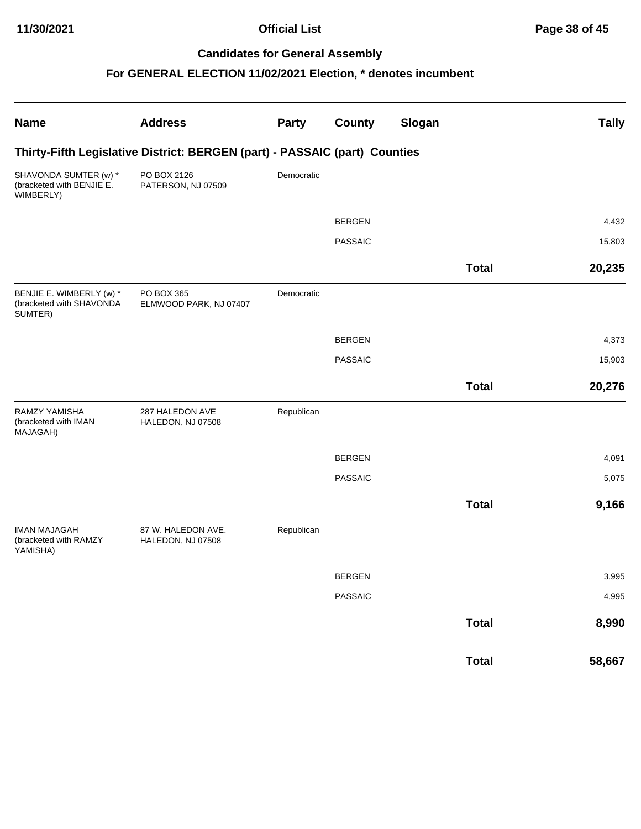| <b>Name</b>                                                     | <b>Address</b>                                                             | <b>Party</b> | <b>County</b>  | Slogan |              | <b>Tally</b> |
|-----------------------------------------------------------------|----------------------------------------------------------------------------|--------------|----------------|--------|--------------|--------------|
|                                                                 | Thirty-Fifth Legislative District: BERGEN (part) - PASSAIC (part) Counties |              |                |        |              |              |
| SHAVONDA SUMTER (w) *<br>(bracketed with BENJIE E.<br>WIMBERLY) | PO BOX 2126<br>PATERSON, NJ 07509                                          | Democratic   |                |        |              |              |
|                                                                 |                                                                            |              | <b>BERGEN</b>  |        |              | 4,432        |
|                                                                 |                                                                            |              | <b>PASSAIC</b> |        |              | 15,803       |
|                                                                 |                                                                            |              |                |        | <b>Total</b> | 20,235       |
| BENJIE E. WIMBERLY (w) *<br>(bracketed with SHAVONDA<br>SUMTER) | PO BOX 365<br>ELMWOOD PARK, NJ 07407                                       | Democratic   |                |        |              |              |
|                                                                 |                                                                            |              | <b>BERGEN</b>  |        |              | 4,373        |
|                                                                 |                                                                            |              | <b>PASSAIC</b> |        |              | 15,903       |
|                                                                 |                                                                            |              |                |        | <b>Total</b> | 20,276       |
| <b>RAMZY YAMISHA</b><br>(bracketed with IMAN<br>MAJAGAH)        | 287 HALEDON AVE<br>HALEDON, NJ 07508                                       | Republican   |                |        |              |              |
|                                                                 |                                                                            |              | <b>BERGEN</b>  |        |              | 4,091        |
|                                                                 |                                                                            |              | <b>PASSAIC</b> |        |              | 5,075        |
|                                                                 |                                                                            |              |                |        | <b>Total</b> | 9,166        |
| <b>IMAN MAJAGAH</b><br>(bracketed with RAMZY<br>YAMISHA)        | 87 W. HALEDON AVE.<br>HALEDON, NJ 07508                                    | Republican   |                |        |              |              |
|                                                                 |                                                                            |              | <b>BERGEN</b>  |        |              | 3,995        |
|                                                                 |                                                                            |              | <b>PASSAIC</b> |        |              | 4,995        |
|                                                                 |                                                                            |              |                |        | <b>Total</b> | 8,990        |
|                                                                 |                                                                            |              |                |        | <b>Total</b> | 58,667       |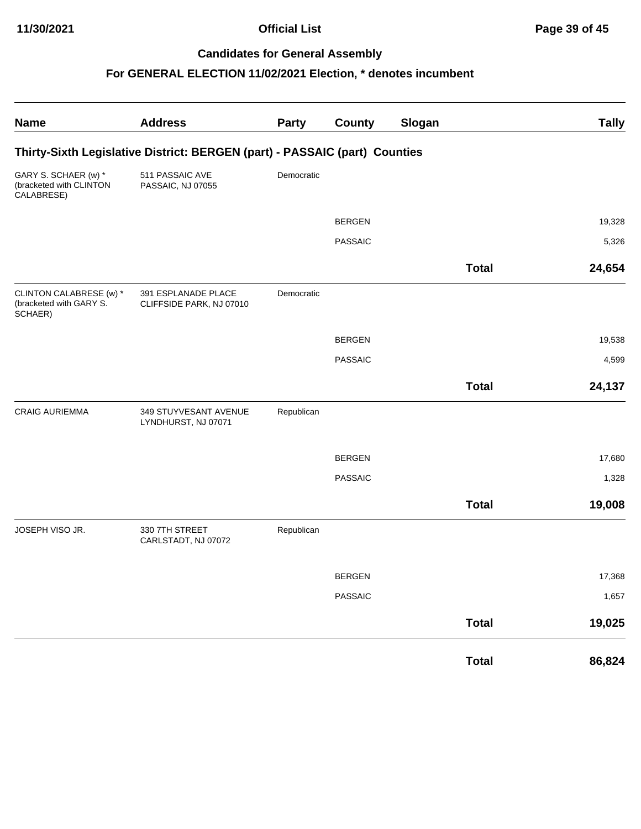| <b>Name</b>                                                   | <b>Address</b>                                                             | <b>Party</b> | <b>County</b>  | Slogan |              | <b>Tally</b> |
|---------------------------------------------------------------|----------------------------------------------------------------------------|--------------|----------------|--------|--------------|--------------|
|                                                               | Thirty-Sixth Legislative District: BERGEN (part) - PASSAIC (part) Counties |              |                |        |              |              |
| GARY S. SCHAER (w) *<br>(bracketed with CLINTON<br>CALABRESE) | 511 PASSAIC AVE<br>PASSAIC, NJ 07055                                       | Democratic   |                |        |              |              |
|                                                               |                                                                            |              | <b>BERGEN</b>  |        |              | 19,328       |
|                                                               |                                                                            |              | <b>PASSAIC</b> |        |              | 5,326        |
|                                                               |                                                                            |              |                |        | <b>Total</b> | 24,654       |
| CLINTON CALABRESE (w) *<br>(bracketed with GARY S.<br>SCHAER) | 391 ESPLANADE PLACE<br>CLIFFSIDE PARK, NJ 07010                            | Democratic   |                |        |              |              |
|                                                               |                                                                            |              | <b>BERGEN</b>  |        |              | 19,538       |
|                                                               |                                                                            |              | <b>PASSAIC</b> |        |              | 4,599        |
|                                                               |                                                                            |              |                |        | <b>Total</b> | 24,137       |
| <b>CRAIG AURIEMMA</b>                                         | 349 STUYVESANT AVENUE<br>LYNDHURST, NJ 07071                               | Republican   |                |        |              |              |
|                                                               |                                                                            |              | <b>BERGEN</b>  |        |              | 17,680       |
|                                                               |                                                                            |              | <b>PASSAIC</b> |        |              | 1,328        |
|                                                               |                                                                            |              |                |        | <b>Total</b> | 19,008       |
| JOSEPH VISO JR.                                               | 330 7TH STREET<br>CARLSTADT, NJ 07072                                      | Republican   |                |        |              |              |
|                                                               |                                                                            |              | <b>BERGEN</b>  |        |              | 17,368       |
|                                                               |                                                                            |              | <b>PASSAIC</b> |        |              | 1,657        |
|                                                               |                                                                            |              |                |        | <b>Total</b> | 19,025       |
|                                                               |                                                                            |              |                |        | <b>Total</b> | 86,824       |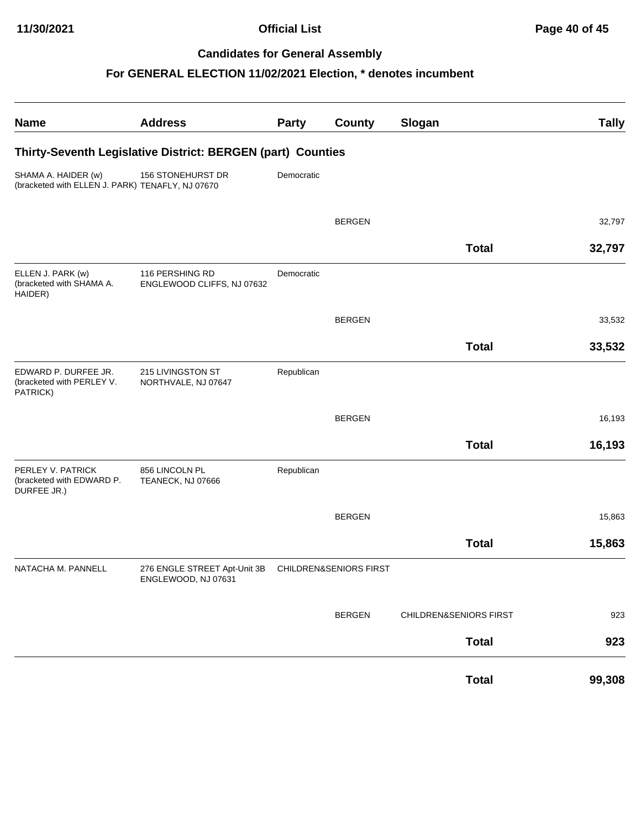| <b>Name</b>                                                             | <b>Address</b>                                      | <b>Party</b> | <b>County</b>          | Slogan                 | <b>Tally</b> |  |  |  |  |
|-------------------------------------------------------------------------|-----------------------------------------------------|--------------|------------------------|------------------------|--------------|--|--|--|--|
| Thirty-Seventh Legislative District: BERGEN (part) Counties             |                                                     |              |                        |                        |              |  |  |  |  |
| SHAMA A. HAIDER (w)<br>(bracketed with ELLEN J. PARK) TENAFLY, NJ 07670 | 156 STONEHURST DR                                   | Democratic   |                        |                        |              |  |  |  |  |
|                                                                         |                                                     |              | <b>BERGEN</b>          |                        | 32,797       |  |  |  |  |
|                                                                         |                                                     |              |                        | <b>Total</b>           | 32,797       |  |  |  |  |
| ELLEN J. PARK (w)<br>(bracketed with SHAMA A.<br>HAIDER)                | 116 PERSHING RD<br>ENGLEWOOD CLIFFS, NJ 07632       | Democratic   |                        |                        |              |  |  |  |  |
|                                                                         |                                                     |              | <b>BERGEN</b>          |                        | 33,532       |  |  |  |  |
|                                                                         |                                                     |              |                        | <b>Total</b>           | 33,532       |  |  |  |  |
| EDWARD P. DURFEE JR.<br>(bracketed with PERLEY V.<br>PATRICK)           | 215 LIVINGSTON ST<br>NORTHVALE, NJ 07647            | Republican   |                        |                        |              |  |  |  |  |
|                                                                         |                                                     |              | <b>BERGEN</b>          |                        | 16,193       |  |  |  |  |
|                                                                         |                                                     |              |                        | <b>Total</b>           | 16,193       |  |  |  |  |
| PERLEY V. PATRICK<br>(bracketed with EDWARD P.<br>DURFEE JR.)           | 856 LINCOLN PL<br>TEANECK, NJ 07666                 | Republican   |                        |                        |              |  |  |  |  |
|                                                                         |                                                     |              | <b>BERGEN</b>          |                        | 15,863       |  |  |  |  |
|                                                                         |                                                     |              |                        | <b>Total</b>           | 15,863       |  |  |  |  |
| NATACHA M. PANNELL                                                      | 276 ENGLE STREET Apt-Unit 3B<br>ENGLEWOOD, NJ 07631 |              | CHILDREN&SENIORS FIRST |                        |              |  |  |  |  |
|                                                                         |                                                     |              | <b>BERGEN</b>          | CHILDREN&SENIORS FIRST | 923          |  |  |  |  |
|                                                                         |                                                     |              |                        | <b>Total</b>           | 923          |  |  |  |  |
|                                                                         |                                                     |              |                        | <b>Total</b>           | 99,308       |  |  |  |  |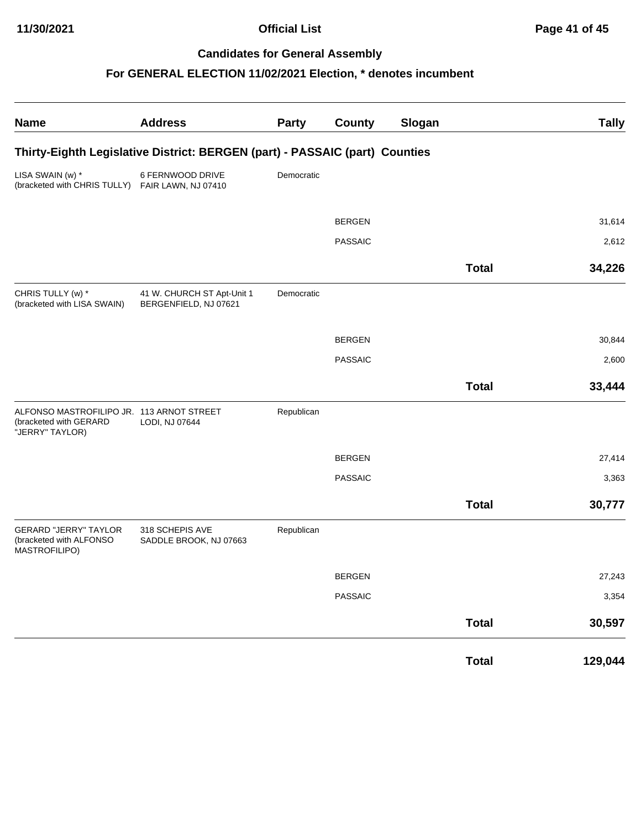| <b>Name</b>                                                                            | <b>Address</b>                                                              | Party      | <b>County</b>  | Slogan |              | <b>Tally</b> |
|----------------------------------------------------------------------------------------|-----------------------------------------------------------------------------|------------|----------------|--------|--------------|--------------|
|                                                                                        | Thirty-Eighth Legislative District: BERGEN (part) - PASSAIC (part) Counties |            |                |        |              |              |
| LISA SWAIN (w) *<br>(bracketed with CHRIS TULLY) FAIR LAWN, NJ 07410                   | 6 FERNWOOD DRIVE                                                            | Democratic |                |        |              |              |
|                                                                                        |                                                                             |            | <b>BERGEN</b>  |        |              | 31,614       |
|                                                                                        |                                                                             |            | <b>PASSAIC</b> |        |              | 2,612        |
|                                                                                        |                                                                             |            |                |        | <b>Total</b> | 34,226       |
| CHRIS TULLY (w) *<br>(bracketed with LISA SWAIN)                                       | 41 W. CHURCH ST Apt-Unit 1<br>BERGENFIELD, NJ 07621                         | Democratic |                |        |              |              |
|                                                                                        |                                                                             |            | <b>BERGEN</b>  |        |              | 30,844       |
|                                                                                        |                                                                             |            | <b>PASSAIC</b> |        |              | 2,600        |
|                                                                                        |                                                                             |            |                |        | <b>Total</b> | 33,444       |
| ALFONSO MASTROFILIPO JR. 113 ARNOT STREET<br>(bracketed with GERARD<br>"JERRY" TAYLOR) | LODI, NJ 07644                                                              | Republican |                |        |              |              |
|                                                                                        |                                                                             |            | <b>BERGEN</b>  |        |              | 27,414       |
|                                                                                        |                                                                             |            | <b>PASSAIC</b> |        |              | 3,363        |
|                                                                                        |                                                                             |            |                |        | <b>Total</b> | 30,777       |
| <b>GERARD "JERRY" TAYLOR</b><br>(bracketed with ALFONSO<br>MASTROFILIPO)               | 318 SCHEPIS AVE<br>SADDLE BROOK, NJ 07663                                   | Republican |                |        |              |              |
|                                                                                        |                                                                             |            | <b>BERGEN</b>  |        |              | 27,243       |
|                                                                                        |                                                                             |            | <b>PASSAIC</b> |        |              | 3,354        |
|                                                                                        |                                                                             |            |                |        | <b>Total</b> | 30,597       |
|                                                                                        |                                                                             |            |                |        | <b>Total</b> | 129,044      |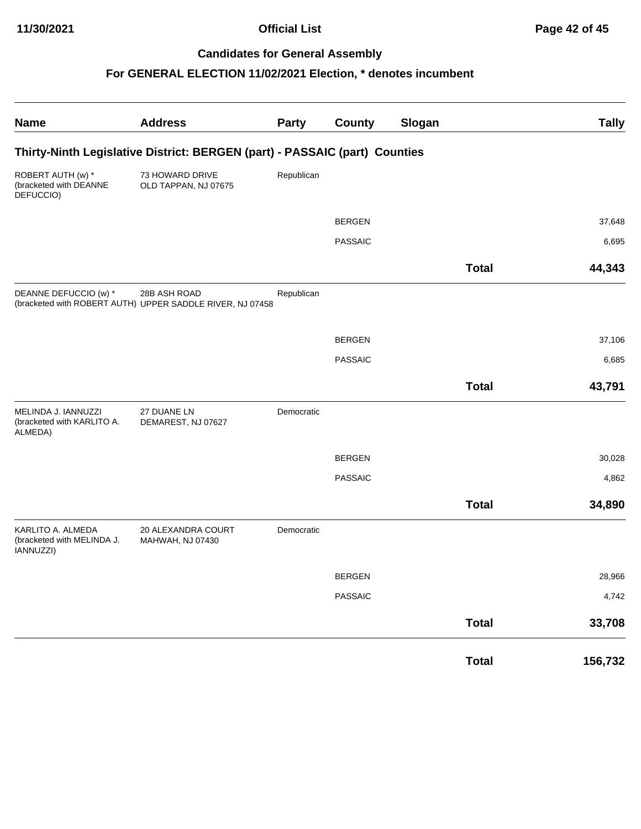| <b>Name</b>                                                  | <b>Address</b>                                                             | Party      | <b>County</b>  | Slogan |              | <b>Tally</b> |
|--------------------------------------------------------------|----------------------------------------------------------------------------|------------|----------------|--------|--------------|--------------|
|                                                              | Thirty-Ninth Legislative District: BERGEN (part) - PASSAIC (part) Counties |            |                |        |              |              |
| ROBERT AUTH (w) *<br>(bracketed with DEANNE<br>DEFUCCIO)     | 73 HOWARD DRIVE<br>OLD TAPPAN, NJ 07675                                    | Republican |                |        |              |              |
|                                                              |                                                                            |            | <b>BERGEN</b>  |        |              | 37,648       |
|                                                              |                                                                            |            | <b>PASSAIC</b> |        |              | 6,695        |
|                                                              |                                                                            |            |                |        | <b>Total</b> | 44,343       |
| DEANNE DEFUCCIO (w) *                                        | 28B ASH ROAD<br>(bracketed with ROBERT AUTH) UPPER SADDLE RIVER, NJ 07458  | Republican |                |        |              |              |
|                                                              |                                                                            |            | <b>BERGEN</b>  |        |              | 37,106       |
|                                                              |                                                                            |            | <b>PASSAIC</b> |        |              | 6,685        |
|                                                              |                                                                            |            |                |        | <b>Total</b> | 43,791       |
| MELINDA J. IANNUZZI<br>(bracketed with KARLITO A.<br>ALMEDA) | 27 DUANE LN<br>DEMAREST, NJ 07627                                          | Democratic |                |        |              |              |
|                                                              |                                                                            |            | <b>BERGEN</b>  |        |              | 30,028       |
|                                                              |                                                                            |            | <b>PASSAIC</b> |        |              | 4,862        |
|                                                              |                                                                            |            |                |        | <b>Total</b> | 34,890       |
| KARLITO A. ALMEDA<br>(bracketed with MELINDA J.<br>IANNUZZI) | 20 ALEXANDRA COURT<br>MAHWAH, NJ 07430                                     | Democratic |                |        |              |              |
|                                                              |                                                                            |            | <b>BERGEN</b>  |        |              | 28,966       |
|                                                              |                                                                            |            | <b>PASSAIC</b> |        |              | 4,742        |
|                                                              |                                                                            |            |                |        | <b>Total</b> | 33,708       |
|                                                              |                                                                            |            |                |        | <b>Total</b> | 156,732      |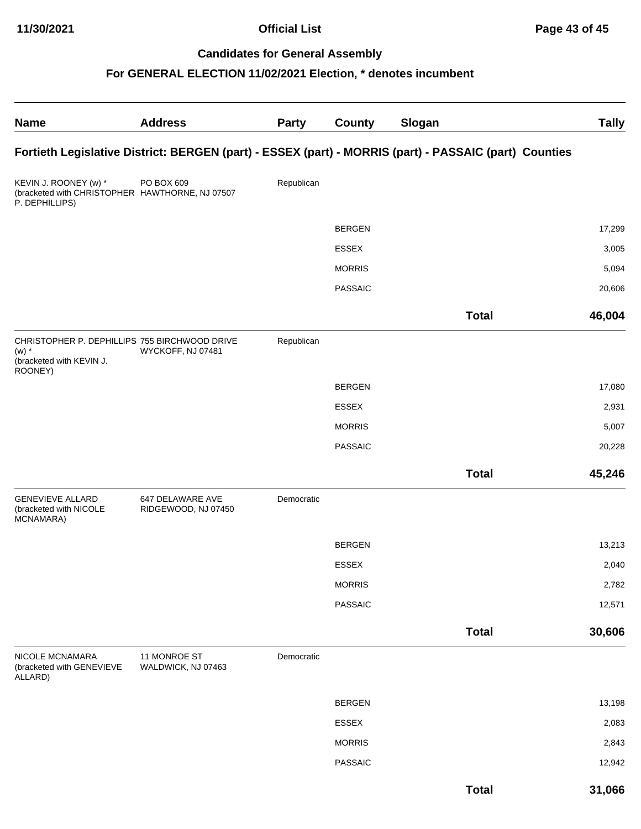| <b>Name</b>                                                                                     | <b>Address</b>                          | <b>Party</b> | <b>County</b>  | Slogan                                                                                                | <b>Tally</b> |
|-------------------------------------------------------------------------------------------------|-----------------------------------------|--------------|----------------|-------------------------------------------------------------------------------------------------------|--------------|
|                                                                                                 |                                         |              |                | Fortieth Legislative District: BERGEN (part) - ESSEX (part) - MORRIS (part) - PASSAIC (part) Counties |              |
| KEVIN J. ROONEY (w) *<br>(bracketed with CHRISTOPHER HAWTHORNE, NJ 07507<br>P. DEPHILLIPS)      | PO BOX 609                              | Republican   |                |                                                                                                       |              |
|                                                                                                 |                                         |              | <b>BERGEN</b>  |                                                                                                       | 17,299       |
|                                                                                                 |                                         |              | <b>ESSEX</b>   |                                                                                                       | 3,005        |
|                                                                                                 |                                         |              | <b>MORRIS</b>  |                                                                                                       | 5,094        |
|                                                                                                 |                                         |              | <b>PASSAIC</b> |                                                                                                       | 20,606       |
|                                                                                                 |                                         |              |                | <b>Total</b>                                                                                          | 46,004       |
| CHRISTOPHER P. DEPHILLIPS 755 BIRCHWOOD DRIVE<br>$(w)$ *<br>(bracketed with KEVIN J.<br>ROONEY) | WYCKOFF, NJ 07481                       | Republican   |                |                                                                                                       |              |
|                                                                                                 |                                         |              | <b>BERGEN</b>  |                                                                                                       | 17,080       |
|                                                                                                 |                                         |              | <b>ESSEX</b>   |                                                                                                       | 2,931        |
|                                                                                                 |                                         |              | <b>MORRIS</b>  |                                                                                                       | 5,007        |
|                                                                                                 |                                         |              | <b>PASSAIC</b> |                                                                                                       | 20,228       |
|                                                                                                 |                                         |              |                | <b>Total</b>                                                                                          | 45,246       |
| <b>GENEVIEVE ALLARD</b><br>(bracketed with NICOLE<br>MCNAMARA)                                  | 647 DELAWARE AVE<br>RIDGEWOOD, NJ 07450 | Democratic   |                |                                                                                                       |              |
|                                                                                                 |                                         |              | <b>BERGEN</b>  |                                                                                                       | 13,213       |
|                                                                                                 |                                         |              | <b>ESSEX</b>   |                                                                                                       | 2,040        |
|                                                                                                 |                                         |              | <b>MORRIS</b>  |                                                                                                       | 2,782        |
|                                                                                                 |                                         |              | <b>PASSAIC</b> |                                                                                                       | 12,571       |
|                                                                                                 |                                         |              |                | <b>Total</b>                                                                                          | 30,606       |
| NICOLE MCNAMARA<br>(bracketed with GENEVIEVE<br>ALLARD)                                         | 11 MONROE ST<br>WALDWICK, NJ 07463      | Democratic   |                |                                                                                                       |              |
|                                                                                                 |                                         |              | <b>BERGEN</b>  |                                                                                                       | 13,198       |
|                                                                                                 |                                         |              | ESSEX          |                                                                                                       | 2,083        |
|                                                                                                 |                                         |              | <b>MORRIS</b>  |                                                                                                       | 2,843        |
|                                                                                                 |                                         |              | <b>PASSAIC</b> |                                                                                                       | 12,942       |
|                                                                                                 |                                         |              |                | <b>Total</b>                                                                                          | 31,066       |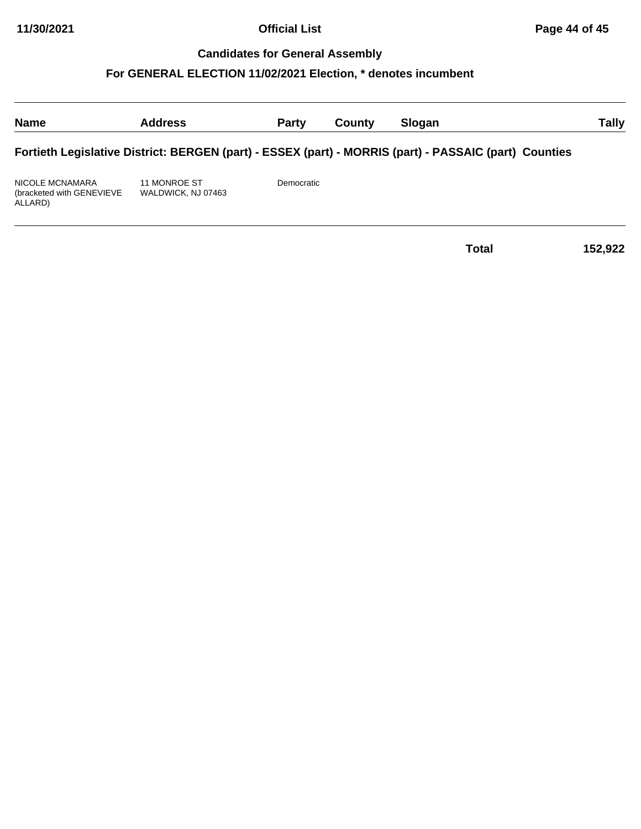## **For GENERAL ELECTION 11/02/2021 Election, \* denotes incumbent**

| <b>Name</b>                                              | <b>Address</b>                     | <b>Party</b> | County | Slogan                                                                                                | Tally |
|----------------------------------------------------------|------------------------------------|--------------|--------|-------------------------------------------------------------------------------------------------------|-------|
|                                                          |                                    |              |        | Fortieth Legislative District: BERGEN (part) - ESSEX (part) - MORRIS (part) - PASSAIC (part) Counties |       |
| NICOLE MCNAMARA<br>(bracketed with GENEVIEVE)<br>ALLARD) | 11 MONROE ST<br>WALDWICK, NJ 07463 | Democratic   |        |                                                                                                       |       |

**Total 152,922**